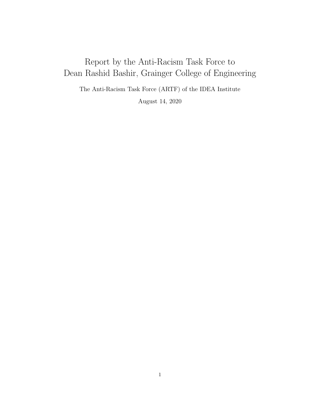# Report by the Anti-Racism Task Force to Dean Rashid Bashir, Grainger College of Engineering

The Anti-Racism Task Force (ARTF) of the IDEA Institute

August 14, 2020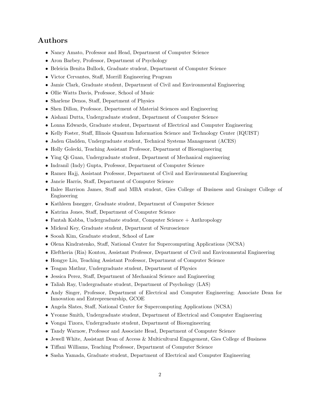# Authors

- Nancy Amato, Professor and Head, Department of Computer Science
- Aron Barbey, Professor, Department of Psychology
- Beleicia Benita Bullock, Graduate student, Department of Computer Science
- Victor Cervantes, Staff, Morrill Engineering Program
- Jamie Clark, Graduate student, Department of Civil and Environmental Engineering
- Ollie Watts Davis, Professor, School of Music
- Sharlene Denos, Staff, Department of Physics
- Shen Dillon, Professor, Department of Material Sciences and Engineering
- Aishani Dutta, Undergraduate student, Department of Computer Science
- Lonna Edwards, Graduate student, Department of Electrical and Computer Engineering
- Kelly Foster, Staff, Illinois Quantum Information Science and Technology Center (IQUIST)
- Jaden Gladden, Undergraduate student, Technical Systems Management (ACES)
- Holly Golecki, Teaching Assistant Professor, Department of Bioengineering
- Ying Qi Guan, Undergraduate student, Department of Mechanical engineering
- Indranil (Indy) Gupta, Professor, Department of Computer Science
- Ramez Hajj, Assistant Professor, Department of Civil and Environmental Engineering
- Jancie Harris, Staff, Department of Computer Science
- Ilalee Harrison James, Staff and MBA student, Gies College of Business and Grainger College of Engineering
- Kathleen Isnegger, Graduate student, Department of Computer Science
- Katrina Jones, Staff, Department of Computer Science
- Fantah Kabba, Undergraduate student, Computer Science + Anthropology
- Mickeal Key, Graduate student, Department of Neuroscience
- Sooah Kim, Graduate student, School of Law
- Olena Kindratenko, Staff, National Center for Supercomputing Applications (NCSA)
- Eleftheria (Ria) Kontou, Assistant Professor, Department of Civil and Environmental Engineering
- Hongye Liu, Teaching Assistant Professor, Department of Computer Science
- Teagan Mathur, Undergraduate student, Department of Physics
- Jessica Perez, Staff, Department of Mechanical Science and Engineering
- Taliah Ray, Undergraduate student, Department of Psychology (LAS)
- Andy Singer, Professor, Department of Electrical and Computer Engineering; Associate Dean for Innovation and Entrepreneurship, GCOE
- Angela Slates, Staff, National Center for Supercomputing Applications (NCSA)
- Yvonne Smith, Undergraduate student, Department of Electrical and Computer Engineering
- Vongai Tizora, Undergraduate student, Department of Bioengineering
- Tandy Warnow, Professor and Associate Head, Department of Computer Science
- Jewell White, Assistant Dean of Access & Multicultural Engagement, Gies College of Business
- Tiffani Williams, Teaching Professor, Department of Computer Science
- Sasha Yamada, Graduate student, Department of Electrical and Computer Engineering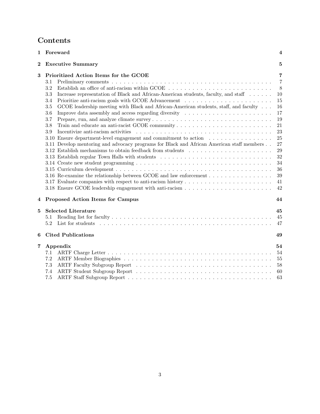# Contents

| $\mathbf 1$    | Foreward                                                                                                                                                                                                                                                                                                                                                                                                                                                                                                                                                                                                                                                                                                                                                                                                                                                      | $\overline{\mathbf{4}}$                                                                                                                   |
|----------------|---------------------------------------------------------------------------------------------------------------------------------------------------------------------------------------------------------------------------------------------------------------------------------------------------------------------------------------------------------------------------------------------------------------------------------------------------------------------------------------------------------------------------------------------------------------------------------------------------------------------------------------------------------------------------------------------------------------------------------------------------------------------------------------------------------------------------------------------------------------|-------------------------------------------------------------------------------------------------------------------------------------------|
| $\overline{2}$ | <b>Executive Summary</b>                                                                                                                                                                                                                                                                                                                                                                                                                                                                                                                                                                                                                                                                                                                                                                                                                                      | 5                                                                                                                                         |
| 3              | Prioritized Action Items for the GCOE<br>3.1<br>3.2<br>Increase representation of Black and African-American students, faculty, and staff<br>3.3<br>3.4<br>GCOE leadership meeting with Black and African-American students, staff, and faculty<br>3.5<br>Improve data assembly and access regarding diversity<br>3.6<br>3.7<br>3.8<br>Incentivize anti-racism activities experience in the set of the set of the set of the set of the set of the set of the set of the set of the set of the set of the set of the set of the set of the set of the set of the set<br>3.9<br>3.10 Ensure department-level engagement and commitment to action<br>3.11 Develop mentoring and advocacy programs for Black and African American staff members<br>3.12 Establish mechanisms to obtain feedback from students<br>3.13 Establish regular Town Halls with students | $\overline{7}$<br>$\overline{7}$<br>8<br>10<br>15<br>16<br>17<br>19<br>21<br>23<br>25<br>27<br>29<br>32<br>34<br>36<br>$39\,$<br>41<br>42 |
| 4              | Proposed Action Items for Campus                                                                                                                                                                                                                                                                                                                                                                                                                                                                                                                                                                                                                                                                                                                                                                                                                              | 44                                                                                                                                        |
| 5              | <b>Selected Literature</b><br>5.1<br>5.2                                                                                                                                                                                                                                                                                                                                                                                                                                                                                                                                                                                                                                                                                                                                                                                                                      | 45<br>45<br>47                                                                                                                            |
| 6              | <b>Cited Publications</b>                                                                                                                                                                                                                                                                                                                                                                                                                                                                                                                                                                                                                                                                                                                                                                                                                                     | 49                                                                                                                                        |
| 7              | Appendix<br>7.1<br>7.2<br>7.3<br>7.4                                                                                                                                                                                                                                                                                                                                                                                                                                                                                                                                                                                                                                                                                                                                                                                                                          | 54<br>54<br>55<br>58<br>60                                                                                                                |
|                | 7.5                                                                                                                                                                                                                                                                                                                                                                                                                                                                                                                                                                                                                                                                                                                                                                                                                                                           | 63                                                                                                                                        |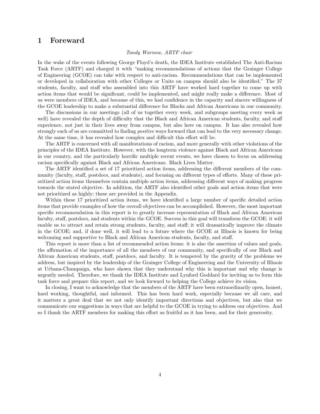### <span id="page-3-0"></span>1 Foreward

#### Tandy Warnow, ARTF chair

In the wake of the events following George Floyd's death, the IDEA Institute established The Anti-Racism Task Force (ARTF) and charged it with "making recommendations of actions that the Grainger College of Engineering (GCOE) can take with respect to anti-racism. Recommendations that can be implemented or developed in collaboration with other Colleges or Units on campus should also be identified." The 37 students, faculty, and staff who assembled into this ARTF have worked hard together to come up with action items that would be significant, could be implemented, and might really make a difference. Most of us were members of IDEA, and because of this, we had confidence in the capacity and sincere willingness of the GCOE leadership to make a substantial difference for Blacks and African Americans in our community.

The discussions in our meetings (all of us together every week, and subgroups meeting every week as well) have revealed the depth of difficulty that the Black and African American students, faculty, and staff experience, not just in their lives away from campus, but also here on campus. It has also revealed how strongly each of us are committed to finding *positive* ways forward that can lead to the very necessary change. At the same time, it has revealed how complex and difficult this effort will be.

The ARTF is concerned with all manifestations of racism, and more generally with other violations of the principles of the IDEA Institute. However, with the longterm violence against Black and African Americans in our country, and the particularly horrific multiple recent events, we have chosen to focus on addressing racism specifically against Black and African Americans. Black Lives Matter.

The ARTF identified a set of 17 prioritized action items, addressing the different members of the community (faculty, staff, postdocs, and students), and focusing on different types of efforts. Many of these prioritized action items themselves contain multiple action items, addressing different ways of making progress towards the stated objective. In addition, the ARTF also identified other goals and action items that were not prioritized as highly; these are provided in the Appendix.

Within these 17 prioritized action items, we have identified a large number of specific detailed action items that provide examples of how the overall objectives can be accomplished. However, the most important specific recommendation in this report is to greatly increase representation of Black and African American faculty, staff, postdocs, and students within the GCOE. Success in this goal will transform the GCOE: it will enable us to attract and retain strong students, faculty, and staff; it will dramatically improve the climate in the GCOE; and, if done well, it will lead to a future where the GCOE at Illinois is known for being welcoming and supportive to Black and African American students, faculty, and staff.

This report is more than a list of recommended action items: it is also the assertion of values and goals, the affirmation of the importance of all the members of our community, and specifically of our Black and African American students, staff, postdocs, and faculty. It is tempered by the gravity of the problems we address, but inspired by the leadership of the Grainger College of Engineering and the University of Illinois at Urbana-Champaign, who have shown that they understand why this is important and why change is urgently needed. Therefore, we thank the IDEA Institute and Lynford Goddard for inviting us to form this task force and prepare this report, and we look forward to helping the College achieve its vision.

In closing, I want to acknowledge that the members of the ARTF have been extraordinarily open, honest, hard working, thoughtful, and informed. This has been hard work, especially because we all care, and it matters a great deal that we not only identify important directions and objectives, but also that we communicate our suggestions in ways that are helpful to the GCOE in trying to address our objectives. And so I thank the ARTF members for making this effort as fruitful as it has been, and for their generosity.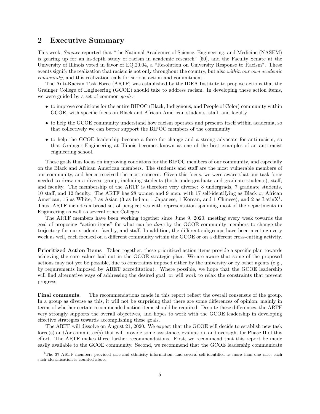### <span id="page-4-0"></span>2 Executive Summary

This week, Science reported that "the National Academies of Science, Engineering, and Medicine (NASEM) is gearing up for an in-depth study of racism in academic research" [\[50\]](#page-51-0), and the Faculty Senate at the University of Illinois voted in favor of EQ.20.04, a "Resolution on University Response to Racism". These events signify the realization that racism is not only throughout the country, but also within our own academic community, and this realization calls for serious action and commitment.

The Anti-Racism Task Force (ARTF) was established by the IDEA Institute to propose actions that the Grainger College of Engineering (GCOE) should take to address racism. In developing these action items, we were guided by a set of common goals:

- to improve conditions for the entire BIPOC (Black, Indigenous, and People of Color) community within GCOE, with specific focus on Black and African American students, staff, and faculty
- to help the GCOE community understand how racism operates and presents itself within academia, so that collectively we can better support the BIPOC members of the community
- to help the GCOE leadership become a force for change and a strong advocate for anti-racism, so that Grainger Engineering at Illinois becomes known as one of the best examples of an anti-racist engineering school.

These goals thus focus on improving conditions for the BIPOC members of our community, and especially on the Black and African American members. The students and staff are the most vulnerable members of our community, and hence received the most concern. Given this focus, we were aware that our task force needed to draw on a diverse group, including students (both undergraduate and graduate students), staff, and faculty. The membership of the ARTF is therefore very diverse: 8 undergrads, 7 graduate students, 10 staff, and 12 faculty. The ARTF has 28 women and 9 men, with 17 self-identifying as Black or African American, [1](#page-4-1)5 as White, 7 as Asian (3 as Indian, 1 Japanese, 1 Korean, and 1 Chinese), and 2 as LatinX<sup>1</sup>. Thus, ARTF includes a broad set of perspectives with representation spanning most of the departments in Engineering as well as several other Colleges.

The ARTF members have been working together since June 9, 2020, meeting every week towards the goal of proposing "action items" for what can be done by the GCOE community members to change the trajectory for our students, faculty, and staff. In addition, the different subgroups have been meeting every week as well, each focused on a different community within the GCOE or on a different cross-cutting activity.

Prioritized Action Items Taken together, these prioritized action items provide a specific plan towards achieving the core values laid out in the GCOE strategic plan. We are aware that some of the proposed actions may not yet be possible, due to constraints imposed either by the university or by other agents (e.g., by requirements imposed by ABET accreditation). Where possible, we hope that the GCOE leadership will find alternative ways of addressing the desired goal, or will work to relax the constraints that prevent progress.

Final comments. The recommendations made in this report reflect the overall consensus of the group. In a group as diverse as this, it will not be surprising that there are some differences of opinion, mainly in terms of whether certain recommended action items should be required. Despite these differences, the ARTF very strongly supports the overall objectives, and hopes to work with the GCOE leadership in developing effective strategies towards accomplishing these goals.

The ARTF will dissolve on August 21, 2020. We expect that the GCOE will decide to establish new task force(s) and/or committee(s) that will provide some assistance, evaluation, and oversight for Phase II of this effort. The ARTF makes three further recommendations. First, we recommend that this report be made easily available to the GCOE community. Second, we recommend that the GCOE leadership communicate

<span id="page-4-1"></span><sup>&</sup>lt;sup>1</sup>The 37 ARTF members provided race and ethnicity information, and several self-identified as more than one race; each such identification is counted above.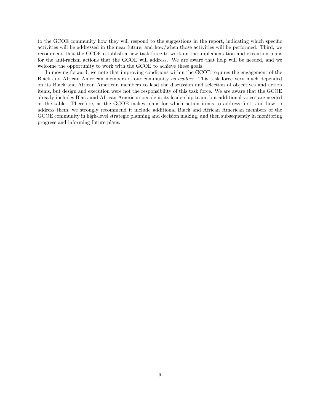to the GCOE community how they will respond to the suggestions in the report, indicating which specific activities will be addressed in the near future, and how/when those activities will be performed. Third, we recommend that the GCOE establish a new task force to work on the implementation and execution plans for the anti-racism actions that the GCOE will address. We are aware that help will be needed, and we welcome the opportunity to work with the GCOE to achieve these goals.

In moving forward, we note that improving conditions within the GCOE requires the engagement of the Black and African American members of our community as leaders. This task force very much depended on its Black and African American members to lead the discussion and selection of objectives and action items, but design and execution were not the responsibility of this task force. We are aware that the GCOE already includes Black and African American people in its leadership team, but additional voices are needed at the table. Therefore, as the GCOE makes plans for which action items to address first, and how to address them, we strongly recommend it include additional Black and African American members of the GCOE community in high-level strategic planning and decision making, and then subsequently in monitoring progress and informing future plans.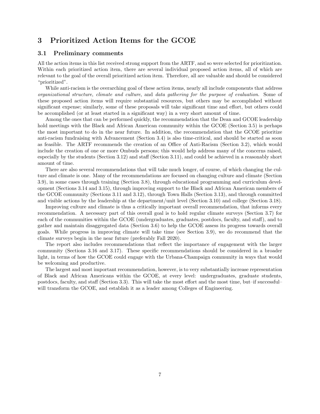# <span id="page-6-0"></span>3 Prioritized Action Items for the GCOE

#### <span id="page-6-1"></span>3.1 Preliminary comments

All the action items in this list received strong support from the ARTF, and so were selected for prioritization. Within each prioritized action item, there are several individual proposed action items, all of which are relevant to the goal of the overall prioritized action item. Therefore, all are valuable and should be considered "prioritized".

While anti-racism is the overarching goal of these action items, nearly all include components that address organizational structure, climate and culture, and data gathering for the purpose of evaluation. Some of these proposed action items will require substantial resources, but others may be accomplished without significant expense; similarly, some of these proposals will take significant time and effort, but others could be accomplished (or at least started in a significant way) in a very short amount of time.

Among the ones that can be performed quickly, the recommendation that the Dean and GCOE leadership hold meetings with the Black and African American community within the GCOE (Section [3.5\)](#page-15-0) is perhaps the most important to do in the near future. In addition, the recommendation that the GCOE prioritize anti-racism fundraising with Advancement (Section [3.4\)](#page-14-0) is also time-critical, and should be started as soon as feasible. The ARTF recommends the creation of an Office of Anti-Racism (Section [3.2\)](#page-7-0), which would include the creation of one or more Ombuds persons; this would help address many of the concerns raised, especially by the students (Section [3.12\)](#page-28-0) and staff (Section [3.11\)](#page-26-0), and could be achieved in a reasonably short amount of time.

There are also several recommendations that will take much longer, of course, of which changing the culture and climate is one. Many of the recommendations are focused on changing culture and climate (Section [3.9\)](#page-22-0), in some cases through training (Section [3.8\)](#page-20-0), through educational programming and curriculum development (Sections [3.14](#page-33-0) and [3.15\)](#page-35-0), through improving support to the Black and African American members of the GCOE community (Sections [3.11](#page-26-0) and [3.12\)](#page-28-0), through Town Halls (Section [3.13\)](#page-31-0), and through committed and visible actions by the leadership at the department/unit level (Section [3.10\)](#page-24-0) and college (Section [3.18\)](#page-41-0).

Improving culture and climate is thus a critically important overall recommendation, that informs every recommendation. A necessary part of this overall goal is to hold regular climate surveys (Section [3.7\)](#page-18-0) for each of the communities within the GCOE (undergraduates, graduates, postdocs, faculty, and staff), and to gather and maintain disaggregated data (Section [3.6\)](#page-16-0) to help the GCOE assess its progress towards overall goals. While progress in improving climate will take time (see Section [3.9\)](#page-22-0), we do recommend that the climate surveys begin in the near future (preferably Fall 2020).

The report also includes recommendations that reflect the importance of engagement with the larger community (Sections [3.16](#page-38-0) and [3.17\)](#page-40-0). These specific recommendations should be considered in a broader light, in terms of how the GCOE could engage with the Urbana-Champaign community in ways that would be welcoming and productive.

The largest and most important recommendation, however, is to very substantially increase representation of Black and African Americans within the GCOE, at every level: undergraduates, graduate students, postdocs, faculty, and staff (Section [3.3\)](#page-9-0). This will take the most effort and the most time, but–if successful– will transform the GCOE, and establish it as a leader among Colleges of Engineering.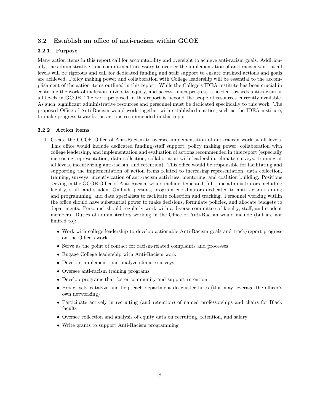#### <span id="page-7-0"></span>3.2 Establish an office of anti-racism within GCOE

#### 3.2.1 Purpose

Many action items in this report call for accountability and oversight to achieve anti-racism goals. Additionally, the administrative time commitment necessary to oversee the implementation of anti-racism work at all levels will be rigorous and call for dedicated funding and staff support to ensure outlined actions and goals are achieved. Policy making power and collaboration with College leadership will be essential to the accomplishment of the action items outlined in this report. While the College's IDEA institute has been crucial in centering the work of inclusion, diversity, equity, and access, much progress is needed towards anti-racism at all levels in GCOE. The work proposed in this report is beyond the scope of resources currently available. As such, significant administrative resources and personnel must be dedicated specifically to this work. The proposed Office of Anti-Racism would work together with established entities, such as the IDEA institute, to make progress towards the actions recommended in this report.

#### 3.2.2 Action items

- 1. Create the GCOE Office of Anti-Racism to oversee implementation of anti-racism work at all levels. This office would include dedicated funding/staff support, policy making power, collaboration with college leadership, and implementation and evaluation of actions recommended in this report (especially increasing representation, data collection, collaboration with leadership, climate surveys, training at all levels, incentivizing anti-racism, and retention). This office would be responsible for facilitating and supporting the implementation of action items related to increasing representation, data collection, training, surveys, incentivization of anti-racism activities, mentoring, and coalition building. Positions serving in the GCOE Office of Anti-Racism would include dedicated, full-time administrators including faculty, staff, and student Ombuds persons, program coordinators dedicated to anti-racism training and programming, and data specialists to facilitate collection and tracking. Personnel working within the office should have substantial power to make decisions, formulate policies, and allocate budgets to departments. Personnel should regularly work with a diverse committee of faculty, staff, and student members. Duties of administrators working in the Office of Anti-Racism would include (but are not limited to):
	- Work with college leadership to develop actionable Anti-Racism goals and track/report progress on the Office's work
	- Serve as the point of contact for racism-related complaints and processes
	- Engage College leadership with Anti-Racism work
	- Develop, implement, and analyze climate surveys
	- Oversee anti-racism training programs
	- Develop programs that foster community and support retention
	- Proactively catalyze and help each department do cluster hires (this may leverage the officer's own networking)
	- Participate actively in recruiting (and retention) of named professorships and chairs for Black faculty
	- Oversee collection and analysis of equity data on recruiting, retention, and salary
	- Write grants to support Anti-Racism programming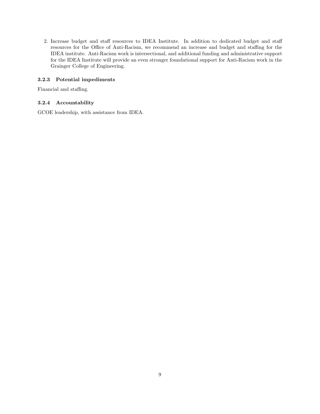2. Increase budget and staff resources to IDEA Institute. In addition to dedicated budget and staff resources for the Office of Anti-Racism, we recommend an increase and budget and staffing for the IDEA institute. Anti-Racism work is intersectional, and additional funding and administrative support for the IDEA Institute will provide an even stronger foundational support for Anti-Racism work in the Grainger College of Engineering.

#### 3.2.3 Potential impediments

Financial and staffing.

#### 3.2.4 Accountability

GCOE leadership, with assistance from IDEA.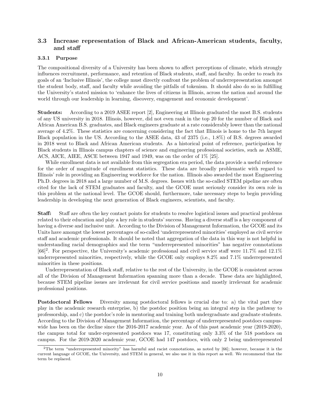### <span id="page-9-0"></span>3.3 Increase representation of Black and African-American students, faculty, and staff

#### 3.3.1 Purpose

The compositional diversity of a University has been shown to affect perceptions of climate, which strongly influences recruitment, performance, and retention of Black students, staff, and faculty. In order to reach its goals of an 'Inclusive Illinois', the college must directly confront the problem of underrepresentation amongst the student body, staff, and faculty while avoiding the pitfalls of tokenism. It should also do so in fulfilling the University's stated mission to 'enhance the lives of citizens in Illinois, across the nation and around the world through our leadership in learning, discovery, engagement and economic development'.

Students: According to a 2019 ASEE report [\[2\]](#page-48-1), Engineering at Illinois graduated the most B.S. students of any US university in 2018. Illinois, however, did not even rank in the top 20 for the number of Black and African American B.S. graduates, and Black engineers graduate at a rate considerably lower than the national average of 4.2%. These statistics are concerning considering the fact that Illinois is home to the 7th largest Black population in the US. According to the ASEE data, 43 of 2375 (i.e., 1.8%) of B.S. degrees awarded in 2018 went to Black and African American students. As a historical point of reference, participation by Black students in Illinois campus chapters of science and engineering professional societies, such as ASME, ACS, AICE, AIEE, ASCE between 1947 and 1949, was on the order of 1% [\[25\]](#page-49-0).

While enrollment data is not available from this segregation era period, the data provide a useful reference for the order of magnitude of enrollment statistics. These data are broadly problematic with regard to Illinois' role in providing an Engineering workforce for the nation. Illinois also awarded the most Engineering Ph.D. degrees in 2018 and a large number of M.S. degrees. Issues with the so-called STEM pipeline are often cited for the lack of STEM graduates and faculty, and the GCOE must seriously consider its own role in this problem at the national level. The GCOE should, furthermore, take necessary steps to begin providing leadership in developing the next generation of Black engineers, scientists, and faculty.

Staff: Staff are often the key contact points for students to resolve logistical issues and practical problems related to their education and play a key role in students' success. Having a diverse staff is a key component of having a diverse and inclusive unit. According to the Division of Management Information, the GCOE and its Units have amongst the lowest percentages of so-called 'underrepresented minorities' employed as civil service staff and academic professionals. It should be noted that aggregation of the data in this way is not helpful in understanding racial demographics and the term "underrepresented minorities" has negative connotations [\[66\]](#page-52-0) [2](#page-9-1) . For perspective, the University's academic professional and civil service staff were 11.7% and 12.1% underrepresented minorities, respectively, while the GCOE only employs 8.2% and 7.1% underrepresented minorities in these positions.

Underrepresentation of Black staff, relative to the rest of the University, in the GCOE is consistent across all of the Division of Management Information spanning more than a decade. These data are highlighted, because STEM pipeline issues are irrelevant for civil service positions and mostly irrelevant for academic professional positions.

Postdoctoral Fellows Diversity among postdoctoral fellows is crucial due to: a) the vital part they play in the academic research enterprise, b) the postdoc position being an integral step in the pathway to professorship, and c) the postdoc's role in mentoring and training both undergraduate and graduate students. According to the Division of Management Information, the percentage of underrepresented postdocs campuswide has been on the decline since the 2016-2017 academic year. As of this past academic year (2019-2020), the campus total for under-represented postdocs was 17, constituting only 3.3% of the 518 postdocs on campus. For the 2019-2020 academic year, GCOE had 147 postdocs, with only 2 being underrepresented

<span id="page-9-1"></span><sup>2</sup>The term "underrepresented minority" has harmful and racist connotations, as noted by [\[66\]](#page-52-0); however, because it is the current language of GCOE, the University, and STEM in general, we also use it in this report as well. We recommend that the term be replaced.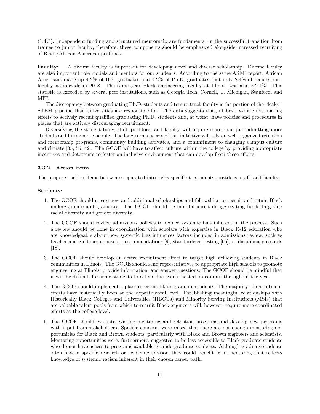(1.4%). Independent funding and structured mentorship are fundamental in the successful transition from trainee to junior faculty; therefore, these components should be emphasized alongside increased recruiting of Black/African American postdocs.

Faculty: A diverse faculty is important for developing novel and diverse scholarship. Diverse faculty are also important role models and mentors for our students. According to the same ASEE report, African Americans made up 4.2% of B.S. graduates and 4.2% of Ph.D. graduates, but only 2.4% of tenure-track faculty nationwide in 2018. The same year Black engineering faculty at Illinois was also ∼2.4%. This statistic is exceeded by several peer institutions, such as Georgia Tech, Cornell, U. Michigan, Stanford, and MIT.

The discrepancy between graduating Ph.D. students and tenure-track faculty is the portion of the "leaky" STEM pipeline that Universities are responsible for. The data suggests that, at best, we are not making efforts to actively recruit qualified graduating Ph.D. students and, at worst, have policies and procedures in places that are actively discouraging recruitment.

Diversifying the student body, staff, postdocs, and faculty will require more than just admitting more students and hiring more people. The long-term success of this initiative will rely on well-organized retention and mentorship programs, community building activities, and a commitment to changing campus culture and climate [\[35,](#page-50-0) [55,](#page-51-1) [42\]](#page-50-1). The GCOE will have to affect culture within the college by providing appropriate incentives and deterrents to foster an inclusive environment that can develop from these efforts.

#### 3.3.2 Action items

The proposed action items below are separated into tasks specific to students, postdocs, staff, and faculty.

#### Students:

- 1. The GCOE should create new and additional scholarships and fellowships to recruit and retain Black undergraduate and graduates. The GCOE should be mindful about disaggregating funds targeting racial diversity and gender diversity.
- 2. The GCOE should review admissions policies to reduce systemic bias inherent in the process. Such a review should be done in coordination with scholars with expertise in Black K-12 education who are knowledgeable about how systemic bias influences factors included in admissions review, such as teacher and guidance counselor recommendations [\[9\]](#page-48-2), standardized testing [\[65\]](#page-52-1), or disciplinary records [\[18\]](#page-48-3).
- 3. The GCOE should develop an active recruitment effort to target high achieving students in Black communities in Illinois. The GCOE should send representatives to appropriate high schools to promote engineering at Illinois, provide information, and answer questions. The GCOE should be mindful that it will be difficult for some students to attend the events hosted on-campus throughout the year.
- 4. The GCOE should implement a plan to recruit Black graduate students. The majority of recruitment efforts have historically been at the departmental level. Establishing meaningful relationships with Historically Black Colleges and Universities (HBCUs) and Minority Serving Institutions (MSIs) that are valuable talent pools from which to recruit Black engineers will, however, require more coordinated efforts at the college level.
- 5. The GCOE should evaluate existing mentoring and retention programs and develop new programs with input from stakeholders. Specific concerns were raised that there are not enough mentoring opportunities for Black and Brown students, particularly with Black and Brown engineers and scientists. Mentoring opportunities were, furthermore, suggested to be less accessible to Black graduate students who do not have access to programs available to undergraduate students. Although graduate students often have a specific research or academic advisor, they could benefit from mentoring that reflects knowledge of systemic racism inherent in their chosen career path.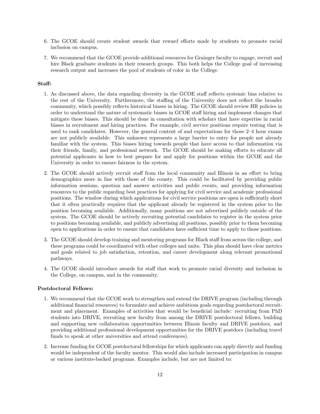- 6. The GCOE should create student awards that reward efforts made by students to promote racial inclusion on campus.
- 7. We recommend that the GCOE provide additional resources for Grainger faculty to engage, recruit and hire Black graduate students in their research groups. This both helps the College goal of increasing research output and increases the pool of students of color in the College.

#### Staff:

- 1. As discussed above, the data regarding diversity in the GCOE staff reflects systemic bias relative to the rest of the University. Furthermore, the staffing of the University does not reflect the broader community, which possibly reflects historical biases in hiring. The GCOE should review HR policies in order to understand the nature of systematic biases in GCOE staff hiring and implement changes that mitigate these biases. This should be done in consultation with scholars that have expertise in racial biases in recruitment and hiring practices. For example, civil service positions require testing that is used to rank candidates. However, the general content of and expectations for those 2–4 hour exams are not publicly available. This unknown represents a large barrier to entry for people not already familiar with the system. This biases hiring towards people that have access to that information via their friends, family, and professional network. The GCOE should be making efforts to educate all potential applicants in how to best prepare for and apply for positions within the GCOE and the University in order to ensure fairness in the system.
- 2. The GCOE should actively recruit staff from the local community and Illinois in an effort to bring demographics more in line with those of the county. This could be facilitated by providing public information sessions, question and answer activities and public events, and providing information resources to the public regarding best practices for applying for civil service and academic professional positions. The window during which applications for civil service positions are open is sufficiently short that it often practically requires that the applicant already be registered in the system prior to the position becoming available. Additionally, many positions are not advertised publicly outside of the system. The GCOE should be actively recruiting potential candidates to register in the system prior to positions becoming available, and publicly advertising all positions, possibly prior to them becoming open to applications in order to ensure that candidates have sufficient time to apply to those positions.
- 3. The GCOE should develop training and mentoring programs for Black staff from across the college, and these programs could be coordinated with other colleges and units. This plan should have clear metrics and goals related to job satisfaction, retention, and career development along relevant promotional pathways.
- 4. The GCOE should introduce awards for staff that work to promote racial diversity and inclusion in the College, on campus, and in the community.

#### Postdoctoral Fellows:

- 1. We recommend that the GCOE work to strengthen and extend the DRIVE program (including through additional financial resources) to formulate and achieve ambitious goals regarding postdoctoral recruitment and placement. Examples of activities that would be beneficial include: recruiting from PhD students into DRIVE, recruiting new faculty from among the DRIVE postdoctoral fellows, building and supporting new collaboration opportunities between Illinois faculty and DRIVE postdocs, and providing additional professional development opportunities for the DRIVE postdocs (including travel funds to speak at other universities and attend conferences).
- 2. Increase funding for GCOE postdoctoral fellowships for which applicants can apply directly and funding would be independent of the faculty mentor. This would also include increased participation in campus or various institute-backed programs. Examples include, but are not limited to: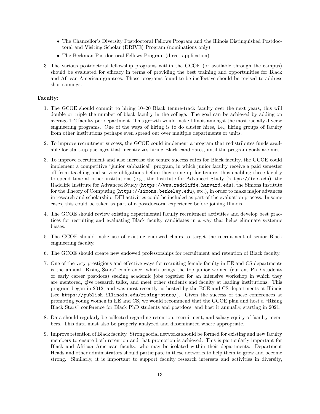- The Chancellor's Diversity Postdoctoral Fellows Program and the Illinois Distinguished Postdoctoral and Visiting Scholar (DRIVE) Program (nominations only)
- The Beckman Postdoctoral Fellows Program (direct application)
- 3. The various postdoctoral fellowship programs within the GCOE (or available through the campus) should be evaluated for efficacy in terms of providing the best training and opportunities for Black and African-American grantees. Those programs found to be ineffective should be revised to address shortcomings.

#### Faculty:

- 1. The GCOE should commit to hiring 10–20 Black tenure-track faculty over the next years; this will double or triple the number of black faculty in the college. The goal can be achieved by adding on average 1–2 faculty per department. This growth would make Illinois amongst the most racially diverse engineering programs. One of the ways of hiring is to do cluster hires, i.e., hiring groups of faculty from other institutions perhaps even spread out over multiple departments or units.
- 2. To improve recruitment success, the GCOE could implement a program that redistributes funds available for start-up packages that incentivizes hiring Black candidates, until the program goals are met.
- 3. To improve recruitment and also increase the tenure success rates for Black faculty, the GCOE could implement a competitive "junior sabbatical" program, in which junior faculty receive a paid semester off from teaching and service obligations before they come up for tenure, thus enabling these faculty to spend time at other institutions (e.g., the Institute for Advanced Study (<https://ias.edu>), the Radcliffe Institute for Advanced Study (<https://www.radcliffe.harvard.edu>), the Simons Institute for the Theory of Computing (<https://simons.berkeley.edu>), etc.), in order to make major advances in research and scholarship. DEI activities could be included as part of the evaluation process. In some cases, this could be taken as part of a postdoctoral experience before joining Illinois.
- 4. The GCOE should review existing departmental faculty recruitment activities and develop best practices for recruiting and evaluating Black faculty candidates in a way that helps eliminate systemic biases.
- 5. The GCOE should make use of existing endowed chairs to target the recruitment of senior Black engineering faculty.
- 6. The GCOE should create new endowed professorships for recruitment and retention of Black faculty.
- 7. One of the very prestigious and effective ways for recruiting female faculty in EE and CS departments is the annual "Rising Stars" conference, which brings the top junior women (current PhD students or early career postdocs) seeking academic jobs together for an intensive workshop in which they are mentored, give research talks, and meet other students and faculty at leading institutions. This program began in 2012, and was most recently co-hosted by the ECE and CS departments at Illinois (see <https://publish.illinois.edu/rising-stars/>). Given the success of these conferences at promoting young women in EE and CS, we would recommend that the GCOE plan and host a "Rising Black Stars" conference for Black PhD students and postdocs, and host it annually, starting in 2021.
- 8. Data should regularly be collected regarding retention, recruitment, and salary equity of faculty members. This data must also be properly analyzed and disseminated where appropriate.
- 9. Improve retention of Black faculty. Strong social networks should be formed for existing and new faculty members to ensure both retention and that promotion is achieved. This is particularly important for Black and African American faculty, who may be isolated within their departments. Department Heads and other administrators should participate in these networks to help them to grow and become strong. Similarly, it is important to support faculty research interests and activities in diversity,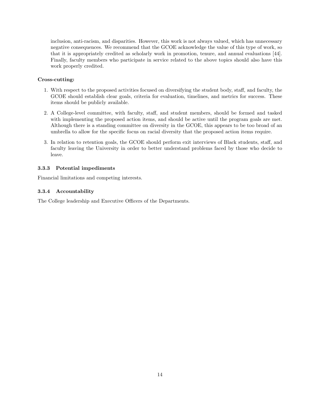inclusion, anti-racism, and disparities. However, this work is not always valued, which has unnecessary negative consequences. We recommend that the GCOE acknowledge the value of this type of work, so that it is appropriately credited as scholarly work in promotion, tenure, and annual evaluations [\[44\]](#page-50-2). Finally, faculty members who participate in service related to the above topics should also have this work properly credited.

#### Cross-cutting:

- 1. With respect to the proposed activities focused on diversifying the student body, staff, and faculty, the GCOE should establish clear goals, criteria for evaluation, timelines, and metrics for success. These items should be publicly available.
- 2. A College-level committee, with faculty, staff, and student members, should be formed and tasked with implementing the proposed action items, and should be active until the program goals are met. Although there is a standing committee on diversity in the GCOE, this appears to be too broad of an umbrella to allow for the specific focus on racial diversity that the proposed action items require.
- 3. In relation to retention goals, the GCOE should perform exit interviews of Black students, staff, and faculty leaving the University in order to better understand problems faced by those who decide to leave.

#### 3.3.3 Potential impediments

Financial limitations and competing interests.

#### 3.3.4 Accountability

The College leadership and Executive Officers of the Departments.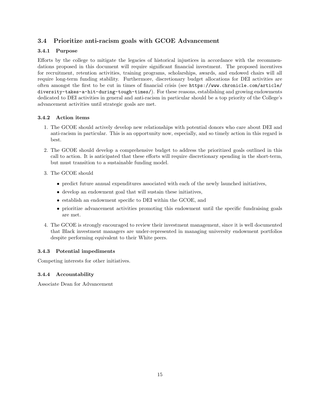### <span id="page-14-0"></span>3.4 Prioritize anti-racism goals with GCOE Advancement

#### 3.4.1 Purpose

Efforts by the college to mitigate the legacies of historical injustices in accordance with the recommendations proposed in this document will require significant financial investment. The proposed incentives for recruitment, retention activities, training programs, scholarships, awards, and endowed chairs will all require long-term funding stability. Furthermore, discretionary budget allocations for DEI activities are often amongst the first to be cut in times of financial crisis (see [https://www.chronicle.com/article/](https://www.chronicle.com/article/diversity-takes-a-hit-during-tough-times/) [diversity-takes-a-hit-during-tough-times/](https://www.chronicle.com/article/diversity-takes-a-hit-during-tough-times/)). For these reasons, establishing and growing endowments dedicated to DEI activities in general and anti-racism in particular should be a top priority of the College's advancement activities until strategic goals are met.

### 3.4.2 Action items

- 1. The GCOE should actively develop new relationships with potential donors who care about DEI and anti-racism in particular. This is an opportunity now, especially, and so timely action in this regard is best.
- 2. The GCOE should develop a comprehensive budget to address the prioritized goals outlined in this call to action. It is anticipated that these efforts will require discretionary spending in the short-term, but must transition to a sustainable funding model.
- 3. The GCOE should
	- predict future annual expenditures associated with each of the newly launched initiatives,
	- develop an endowment goal that will sustain these initiatives,
	- establish an endowment specific to DEI within the GCOE, and
	- prioritize advancement activities promoting this endowment until the specific fundraising goals are met.
- 4. The GCOE is strongly encouraged to review their investment management, since it is well documented that Black investment managers are under-represented in managing university endowment portfolios despite performing equivalent to their White peers.

#### 3.4.3 Potential impediments

Competing interests for other initiatives.

### 3.4.4 Accountability

Associate Dean for Advancement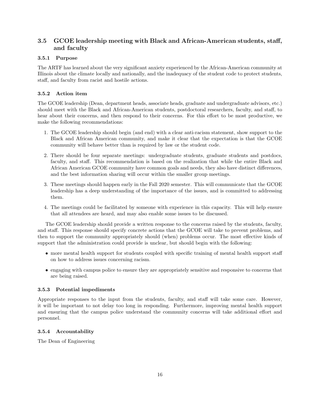### <span id="page-15-0"></span>3.5 GCOE leadership meeting with Black and African-American students, staff, and faculty

#### 3.5.1 Purpose

The ARTF has learned about the very significant anxiety experienced by the African-American community at Illinois about the climate locally and nationally, and the inadequacy of the student code to protect students, staff, and faculty from racist and hostile actions.

#### 3.5.2 Action item

The GCOE leadership (Dean, department heads, associate heads, graduate and undergraduate advisors, etc.) should meet with the Black and African-American students, postdoctoral researchers, faculty, and staff, to hear about their concerns, and then respond to their concerns. For this effort to be most productive, we make the following recommendations:

- 1. The GCOE leadership should begin (and end) with a clear anti-racism statement, show support to the Black and African American community, and make it clear that the expectation is that the GCOE community will behave better than is required by law or the student code.
- 2. There should be four separate meetings: undergraduate students, graduate students and postdocs, faculty, and staff. This recommendation is based on the realization that while the entire Black and African American GCOE community have common goals and needs, they also have distinct differences, and the best information sharing will occur within the smaller group meetings.
- 3. These meetings should happen early in the Fall 2020 semester. This will communicate that the GCOE leadership has a deep understanding of the importance of the issues, and is committed to addressing them.
- 4. The meetings could be facilitated by someone with experience in this capacity. This will help ensure that all attendees are heard, and may also enable some issues to be discussed.

The GCOE leadership should provide a written response to the concerns raised by the students, faculty, and staff. This response should specify concrete actions that the GCOE will take to prevent problems, and then to support the community appropriately should (when) problems occur. The most effective kinds of support that the administration could provide is unclear, but should begin with the following:

- more mental health support for students coupled with specific training of mental health support staff on how to address issues concerning racism.
- engaging with campus police to ensure they are appropriately sensitive and responsive to concerns that are being raised.

#### 3.5.3 Potential impediments

Appropriate responses to the input from the students, faculty, and staff will take some care. However, it will be important to not delay too long in responding. Furthermore, improving mental health support and ensuring that the campus police understand the community concerns will take additional effort and personnel.

#### 3.5.4 Accountability

The Dean of Engineering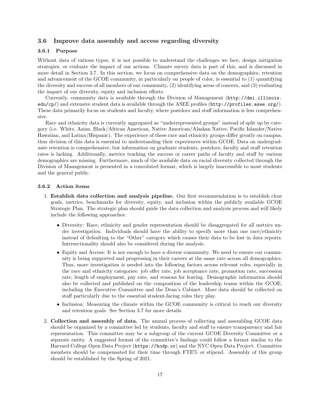#### <span id="page-16-0"></span>3.6 Improve data assembly and access regarding diversity

#### 3.6.1 Purpose

Without data of various types, it is not possible to understand the challenges we face, design mitigation strategies, or evaluate the impact of our actions. Climate survey data is part of this, and is discussed in more detail in Section [3.7.](#page-18-0) In this section, we focus on comprehensive data on the demographics, retention and advancement of the GCOE community, in particularly on people of color, is essential to (1) quantifying the diversity and success of all members of our community, (2) identifying areas of concern, and (3) evaluating the impact of our diversity, equity and inclusion efforts.

Currently, community data is available through the Division of Management ([http://dmi.illinois.](http://dmi.illinois.edu/cp/) [edu/cp/](http://dmi.illinois.edu/cp/)) and extensive student data is available through the ASEE profiles (<http://profiles.asee.org/>). These data primarily focus on students and faculty, where postdocs and staff information is less comprehensive.

Race and ethnicity data is currently aggregated as "underrepresented groups" instead of split up by category (i.e. White, Asian, Black/African American, Native American/Alaskan Native, Pacific Islander/Native Hawaiian, and Latinx/Hispanic). The experience of these race and ethnicity groups differ greatly on campus, thus division of this data is essential to understanding their experiences within GCOE. Data on undergraduate retention is comprehensive, but information on graduate students, postdocs, faculty and staff retention rates is lacking. Additionally, metrics tracking the success or career paths of faculty and staff by various demographics are missing. Furthermore, much of the available data on racial diversity collected through the Division of Management is presented in a convoluted format, which is largely inaccessible to most students and the general public.

#### 3.6.2 Action items

- 1. Establish data collection and analysis pipeline. Our first recommendation is to establish clear goals, metrics, benchmarks for diversity, equity, and inclusion within the publicly available GCOE Strategic Plan. The strategic plan should guide the data collection and analysis process and will likely include the following approaches:
	- Diversity: Race, ethnicity and gender representation should be disaggregated for all metrics under investigation. Individuals should have the ability to specify more than one race/ethnicity instead of defaulting to the "Other" category which causes their data to be lost in data reports. Intersectionality should also be considered during the analysis.
	- Equity and Access: It is not enough to have a diverse community. We need to ensure our community is being supported and progressing in their careers at the same rate across all demographics. Thus, more investigation is needed into the following factors across relevant roles, especially in the race and ethnicity categories: job offer rate, job acceptance rate, promotion rate, succession rate, length of employment, pay rate, and reasons for leaving. Demographic information should also be collected and published on the composition of the leadership teams within the GCOE, including the Executive Committee and the Dean's Cabinet. More data should be collected on staff particularly due to the essential student-facing roles they play.
	- Inclusion: Measuring the climate within the GCOE community is critical to reach our diversity and retention goals. See Section [3.7](#page-18-0) for more details.
- 2. Collection and assembly of data. The annual process of collecting and assembling GCOE data should be organized by a committee led by students, faculty and staff to ensure transparency and fair representation. This committee may be a subgroup of the current GCOE Diversity Committee or a separate entity. A suggested format of the committee's findings could follow a format similar to the Harvard College Open Data Project (<https://hodp.or>) and the NYC Open Data Project. Committee members should be compensated for their time through FTE% or stipend. Assembly of this group should be established by the Spring of 2021.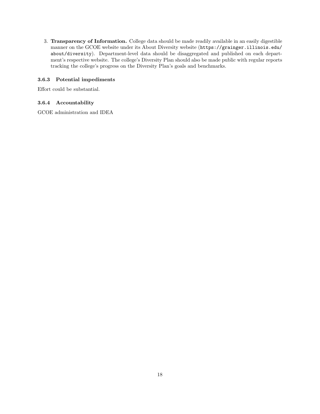3. Transparency of Information. College data should be made readily available in an easily digestible manner on the GCOE website under its About Diversity website ([https://grainger.illinois.edu/](https://grainger.illinois.edu/about/diversity) [about/diversity](https://grainger.illinois.edu/about/diversity)). Department-level data should be disaggregated and published on each department's respective website. The college's Diversity Plan should also be made public with regular reports tracking the college's progress on the Diversity Plan's goals and benchmarks.

#### 3.6.3 Potential impediments

Effort could be substantial.

#### 3.6.4 Accountability

GCOE administration and IDEA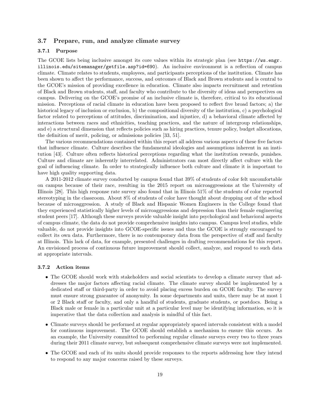#### <span id="page-18-0"></span>3.7 Prepare, run, and analyze climate survey

#### 3.7.1 Purpose

The GCOE lists being inclusive amongst its core values within its strategic plan (see [https://ws.engr.](https://ws.engr.illinois.edu/sitemanager/getfile.asp?id=690) [illinois.edu/sitemanager/getfile.asp?id=690](https://ws.engr.illinois.edu/sitemanager/getfile.asp?id=690)). An inclusive environment is a reflection of campus climate. Climate relates to students, employees, and participants perceptions of the institution. Climate has been shown to affect the performance, success, and outcomes of Black and Brown students and is central to the GCOE's mission of providing excellence in education. Climate also impacts recruitment and retention of Black and Brown students, staff, and faculty who contribute to the diversity of ideas and perspectives on campus. Delivering on the GCOE's promise of an inclusive climate is, therefore, critical to its educational mission. Perceptions of racial climate in education have been proposed to reflect five broad factors; a) the historical legacy of inclusion or exclusion, b) the compositional diversity of the institution, c) a psychological factor related to perceptions of attitudes, discrimination, and injustice, d) a behavioral climate affected by interactions between races and ethnicities, teaching practices, and the nature of intergroup relationships, and e) a structural dimension that reflects policies such as hiring practices, tenure policy, budget allocations, the definition of merit, policing, or admissions policies [\[33,](#page-49-1) [51\]](#page-51-2).

The various recommendations contained within this report all address various aspects of these five factors that influence climate. Culture describes the fundamental ideologies and assumptions inherent in an institution [\[43\]](#page-50-3). Culture often reflects historical perceptions regarding what the institution rewards, punishes. Culture and climate are inherently interrelated. Administrators can most directly affect culture with the goal of influencing climate. In order to strategically influence both culture and climate it is important to have high quality supporting data.

A 2011-2012 climate survey conducted by campus found that 39% of students of color felt uncomfortable on campus because of their race, resulting in the 2015 report on microaggressions at the University of Illinois [\[28\]](#page-49-2). This high response rate survey also found that in Illinois 51% of the students of color reported stereotyping in the classroom. About 8% of students of color have thought about dropping out of the school because of microaggression. A study of Black and Hispanic Women Engineers in the College found that they experienced statistically higher levels of microaggressions and depression than their female engineering student peers [\[17\]](#page-48-4). Although these surveys provide valuable insight into psychological and behavioral aspects of campus climate, the data do not provide comprehensive insights into campus. Campus level studies, while valuable, do not provide insights into GCOE-specific issues and thus the GCOE is strongly encouraged to collect its own data. Furthermore, there is no contemporary data from the perspective of staff and faculty at Illinois. This lack of data, for example, presented challenges in drafting recommendations for this report. An envisioned process of continuous future improvement should collect, analyze, and respond to such data at appropriate intervals.

#### 3.7.2 Action items

- The GCOE should work with stakeholders and social scientists to develop a climate survey that addresses the major factors affecting racial climate. The climate survey should be implemented by a dedicated staff or third-party in order to avoid placing excess burden on GCOE faculty. The survey must ensure strong guarantee of anonymity. In some departments and units, there may be at most 1 or 2 Black staff or faculty, and only a handful of students, graduate students, or postdocs. Being a Black male or female in a particular unit at a particular level may be identifying information, so it is imperative that the data collection and analysis is mindful of this fact.
- Climate surveys should be performed at regular appropriately spaced intervals consistent with a model for continuous improvement. The GCOE should establish a mechanism to ensure this occurs. As an example, the University committed to performing regular climate surveys every two to three years during their 2011 climate survey, but subsequent comprehensive climate surveys were not implemented.
- The GCOE and each of its units should provide responses to the reports addressing how they intend to respond to any major concerns raised by these surveys.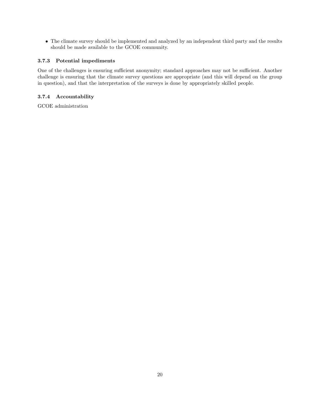• The climate survey should be implemented and analyzed by an independent third party and the results should be made available to the GCOE community.

#### 3.7.3 Potential impediments

One of the challenges is ensuring sufficient anonymity; standard approaches may not be sufficient. Another challenge is ensuring that the climate survey questions are appropriate (and this will depend on the group in question), and that the interpretation of the surveys is done by appropriately skilled people.

#### 3.7.4 Accountability

GCOE administration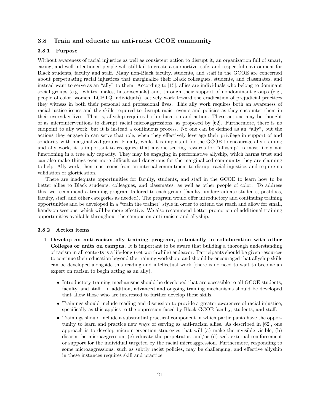#### <span id="page-20-0"></span>3.8 Train and educate an anti-racist GCOE community

#### 3.8.1 Purpose

Without awareness of racial injustice as well as consistent action to disrupt it, an organization full of smart, caring, and well-intentioned people will still fail to create a supportive, safe, and respectful environment for Black students, faculty and staff. Many non-Black faculty, students, and staff in the GCOE are concerned about perpetuating racial injustices that marginalize their Black colleagues, students, and classmates, and instead want to serve as an "ally" to them. According to [\[15\]](#page-48-5), allies are individuals who belong to dominant social groups (e.g., whites, males, heterosexuals) and, through their support of nondominant groups (e.g., people of color, women, LGBTQ individuals), actively work toward the eradication of prejudicial practices they witness in both their personal and professional lives. This ally work requires both an awareness of racial justice issues and the skills required to disrupt racist events and policies as they encounter them in their everyday lives. That is, allyship requires both education and action. These actions may be thought of as microinterventions to disrupt racial microaggressions, as proposed by [\[62\]](#page-51-3). Furthermore, there is no endpoint to ally work, but it is instead a continuous process. No one can be defined as an "ally", but the actions they engage in can serve that role, when they effectively leverage their privilege in support of and solidarity with marginalized groups. Finally, while it is important for the GCOE to encourage ally training and ally work, it is important to recognize that anyone seeking rewards for "allyship" is most likely not functioning in a true ally capacity. They may be engaging in performative allyship, which harms trust and can also make things even more difficult and dangerous for the marginalized community they are claiming to help. Ally work, then must come from an internal commitment to disrupt racial injustice, and require no validation or glorification.

There are inadequate opportunities for faculty, students, and staff in the GCOE to learn how to be better allies to Black students, colleagues, and classmates, as well as other people of color. To address this, we recommend a training program tailored to each group (faculty, undergraduate students, postdocs, faculty, staff, and other categories as needed). The program would offer introductory and continuing training opportunities and be developed in a "train the trainer" style in order to extend the reach and allow for small, hands-on sessions, which will be more effective. We also recommend better promotion of additional training opportunities available throughout the campus on anti-racism and allyship.

#### 3.8.2 Action items

- 1. Develop an anti-racism ally training program, potentially in collaboration with other Colleges or units on campus. It is important to be aware that building a thorough understanding of racism in all contexts is a life-long (yet worthwhile) endeavor. Participants should be given resources to continue their education beyond the training workshop, and should be encouraged that allyship skills can be developed alongside this reading and intellectual work (there is no need to wait to become an expert on racism to begin acting as an ally).
	- Introductory training mechanisms should be developed that are accessible to all GCOE students, faculty, and staff. In addition, advanced and ongoing training mechanisms should be developed that allow those who are interested to further develop these skills.
	- Trainings should include reading and discussion to provide a greater awareness of racial injustice, specifically as this applies to the oppression faced by Black GCOE faculty, students, and staff.
	- Trainings should include a substantial practical component in which participants have the opportunity to learn and practice new ways of serving as anti-racism allies. As described in [\[62\]](#page-51-3), one approach is to develop microintervention strategies that will (a) make the invisible visible, (b) disarm the microaggression, (c) educate the perpetrator, and/or (d) seek external reinforcement or support for the individual targeted by the racial microaggression. Furthermore, responding to some microaggressions, such as subtly racist policies, may be challenging, and effective allyship in these instances requires skill and practice.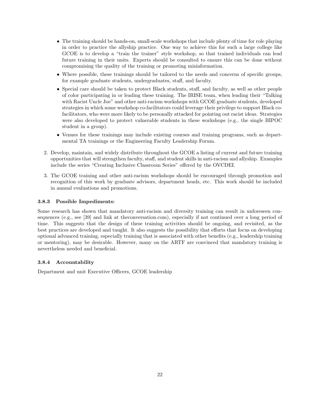- The training should be hands-on, small-scale workshops that include plenty of time for role playing in order to practice the allyship practice. One way to achieve this for such a large college like GCOE is to develop a "train the trainer" style workshop, so that trained individuals can lead future training in their units. Experts should be consulted to ensure this can be done without compromising the quality of the training or promoting misinformation.
- Where possible, these trainings should be tailored to the needs and concerns of specific groups, for example graduate students, undergraduates, staff, and faculty.
- Special care should be taken to protect Black students, staff, and faculty, as well as other people of color participating in or leading these training. The IRISE team, when leading their "Talking with Racist Uncle Joe" and other anti-racism workshops with GCOE graduate students, developed strategies in which some workshop co-facilitators could leverage their privilege to support Black cofacilitators, who were more likely to be personally attacked for pointing out racist ideas. Strategies were also developed to protect vulnerable students in these workshops (e.g., the single BIPOC student in a group).
- Venues for these trainings may include existing courses and training programs, such as departmental TA trainings or the Engineering Faculty Leadership Forum.
- 2. Develop, maintain, and widely distribute throughout the GCOE a listing of current and future training opportunities that will strengthen faculty, staff, and student skills in anti-racism and allyship. Examples include the series "Creating Inclusive Classroom Series" offered by the OVCDEI.
- 3. The GCOE training and other anti-racism workshops should be encouraged through promotion and recognition of this work by graduate advisors, department heads, etc. This work should be included in annual evaluations and promotions.

#### 3.8.3 Possible Impediments:

Some research has shown that mandatory anti-racism and diversity training can result in unforeseen consequences (e.g., see [\[39\]](#page-50-4) and [link at theconversation.com\)](https://theconversation.com/why-diversity-training-on-campus-is-likely-to-disappoint-143644), especially if not continued over a long period of time. This suggests that the design of these training activities should be ongoing, and revisited, as the best practices are developed and taught. It also suggests the possibility that efforts that focus on developing optional advanced training, especially training that is associated with other benefits (e.g., leadership training or mentoring), may be desirable. However, many on the ARTF are convinced that mandatory training is nevertheless needed and beneficial.

#### 3.8.4 Accountability

Department and unit Executive Officers, GCOE leadership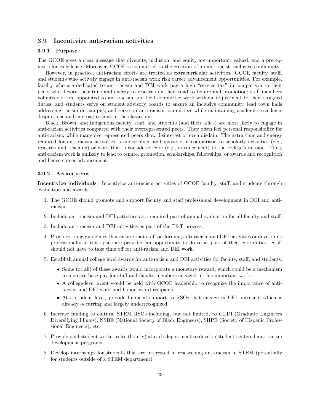#### <span id="page-22-0"></span>3.9 Incentivize anti-racism activities

#### 3.9.1 Purpose

The GCOE gives a clear message that diversity, inclusion, and equity are important, valued, and a prerequisite for excellence. Moreover, GCOE is committed to the creation of an anti-racist, inclusive community.

However, in practice, anti-racism efforts are treated as extracurricular activities. GCOE faculty, staff, and students who actively engage in anti-racism work risk career advancement opportunities. For example, faculty who are dedicated to anti-racism and DEI work pay a high "service tax" in comparison to their peers who devote their time and energy to research on their road to tenure and promotion; staff members volunteer or are appointed to anti-racism and DEI committee work without adjustment to their assigned duties; and students serve on student advisory boards to ensure an inclusive community, lead town halls addressing racism on campus, and serve on anti-racism committees while maintaining academic excellence despite bias and microagressions in the classroom.

Black, Brown, and Indigenous faculty, staff, and students (and their allies) are most likely to engage in anti-racism activities compared with their overrepresented peers. They often feel personal responsibility for anti-racism, while many overrepresented peers show disinterest or even disdain. The extra time and energy required for anti-racism activities is undervalued and invisible in comparison to scholarly activities (e.g., research and teaching) or work that is considered core (e.g., advancement) to the college's mission. Thus, anti-racism work is unlikely to lead to tenure, promotion, scholarships, fellowships, or awards and recognition and hence career advancement.

#### 3.9.2 Action items

Incentivize individuals Incentivize anti-racism activities of GCOE faculty, staff, and students through evaluation and awards.

- 1. The GCOE should promote and support faculty and staff professional development in DEI and antiracism.
- 2. Include anti-racism and DEI activities as a required part of annual evaluation for all faculty and staff.
- 3. Include anti-racism and DEI activities as part of the P&T process.
- 4. Provide strong guidelines that ensure that staff performing anti-racism and DEI activities or developing professionally in this space are provided an opportunity to do so as part of their core duties. Staff should not have to take time off for anti-racism and DEI work.
- 5. Establish annual college level awards for anti-racism and DEI activities for faculty, staff, and students.
	- Some (or all) of these awards would incorporate a monetary reward, which could be a mechanism to increase base pay for staff and faculty members engaged in this important work.
	- A college-level event would be held with GCOE leadership to recognize the importance of antiracism and DEI work and honor award recipients.
	- At a student level, provide financial support to RSOs that engage in DEI outreach, which is already occurring and largely underrecognized.
- 6. Increase funding to cultural STEM RSOs including, but not limited, to GEDI (Graduate Engineers Diversifying Illinois), NSBE (National Society of Black Engineers), SHPE (Society of Hispanic Professional Engineers), etc.
- 7. Provide paid student worker roles (hourly) at each department to develop student-centered anti-racism development programs.
- 8. Develop internships for students that are interested in researching anti-racism in STEM (potentially for students outside of a STEM department).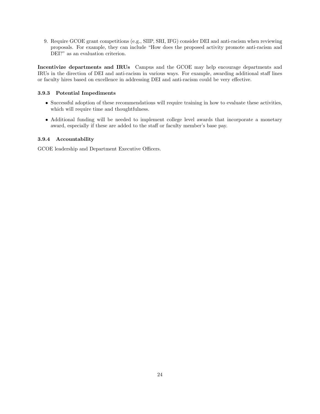9. Require GCOE grant competitions (e.g., SIIP, SRI, IFG) consider DEI and anti-racism when reviewing proposals. For example, they can include "How does the proposed activity promote anti-racism and DEI?" as an evaluation criterion.

Incentivize departments and IRUs Campus and the GCOE may help encourage departments and IRUs in the direction of DEI and anti-racism in various ways. For example, awarding additional staff lines or faculty hires based on excellence in addressing DEI and anti-racism could be very effective.

#### 3.9.3 Potential Impediments

- Successful adoption of these recommendations will require training in how to evaluate these activities, which will require time and thoughtfulness.
- Additional funding will be needed to implement college level awards that incorporate a monetary award, especially if these are added to the staff or faculty member's base pay.

#### 3.9.4 Accountability

GCOE leadership and Department Executive Officers.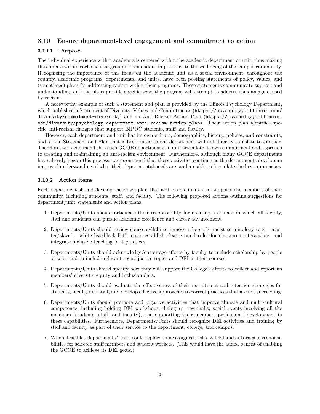#### <span id="page-24-0"></span>3.10 Ensure department-level engagement and commitment to action

#### 3.10.1 Purpose

The individual experience within academia is centered within the academic department or unit, thus making the climate within each such subgroup of tremendous importance to the well being of the campus community. Recognizing the importance of this focus on the academic unit as a social environment, throughout the country, academic programs, departments, and units, have been posting statements of policy, values, and (sometimes) plans for addressing racism within their programs. These statements communicate support and understanding, and the plans provide specific ways the program will attempt to address the damage caused by racism.

A noteworthy example of such a statement and plan is provided by the Illinois Psychology Department, which published a Statement of Diversity, Values and Commitments ([https://psychology.illinois.edu/](https://psychology.illinois.edu/diversity/commitment-diversity) [diversity/commitment-diversity](https://psychology.illinois.edu/diversity/commitment-diversity)) and an Anti-Racism Action Plan ([https://psychology.illinois.](https://psychology.illinois.edu/diversity/psychology-department-anti-racism-action-plan) [edu/diversity/psychology-department-anti-racism-action-plan](https://psychology.illinois.edu/diversity/psychology-department-anti-racism-action-plan)). Their action plan identifies specific anti-racism changes that support BIPOC students, staff and faculty.

However, each department and unit has its own culture, demographics, history, policies, and constraints, and so the Statement and Plan that is best suited to one department will not directly translate to another. Therefore, we recommend that each GCOE department and unit articulate its own commitment and approach to creating and maintaining an anti-racism environment. Furthermore, although many GCOE departments have already begun this process, we recommend that these activities continue as the departments develop an improved understanding of what their departmental needs are, and are able to formulate the best approaches.

#### 3.10.2 Action items

Each department should develop their own plan that addresses climate and supports the members of their community, including students, staff, and faculty. The following proposed actions outline suggestions for department/unit statements and action plans.

- 1. Departments/Units should articulate their responsibility for creating a climate in which all faculty, staff and students can pursue academic excellence and career advancement.
- 2. Departments/Units should review course syllabi to remove inherently racist terminology (e.g. "master/slave", "white list/black list", etc.), establish clear ground rules for classroom interactions, and integrate inclusive teaching best practices.
- 3. Departments/Units should acknowledge/encourage efforts by faculty to include scholarship by people of color and to include relevant social justice topics and DEI in their courses.
- 4. Departments/Units should specify how they will support the College's efforts to collect and report its members' diversity, equity and inclusion data.
- 5. Departments/Units should evaluate the effectiveness of their recruitment and retention strategies for students, faculty and staff, and develop effective approaches to correct practices that are not succeeding.
- 6. Departments/Units should promote and organize activities that improve climate and multi-cultural competence, including holding DEI workshops, dialogues, townhalls, social events involving all the members (students, staff, and faculty), and supporting their members professional development in these capabilities. Furthermore, Departments/Units should recognize DEI activities and training by staff and faculty as part of their service to the department, college, and campus.
- 7. Where feasible, Departments/Units could replace some assigned tasks by DEI and anti-racism responsibilities for selected staff members and student workers. (This would have the added benefit of enabling the GCOE to achieve its DEI goals.)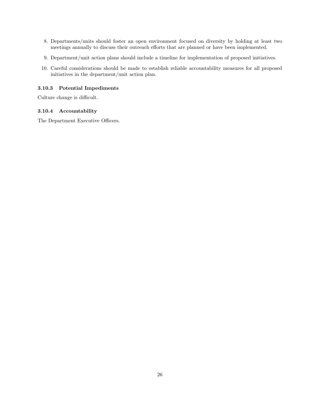- 8. Departments/units should foster an open environment focused on diversity by holding at least two meetings annually to discuss their outreach efforts that are planned or have been implemented.
- 9. Department/unit action plans should include a timeline for implementation of proposed initiatives.
- 10. Careful considerations should be made to establish reliable accountability measures for all proposed initiatives in the department/unit action plan.

#### 3.10.3 Potential Impediments

Culture change is difficult.

#### 3.10.4 Accountability

The Department Executive Officers.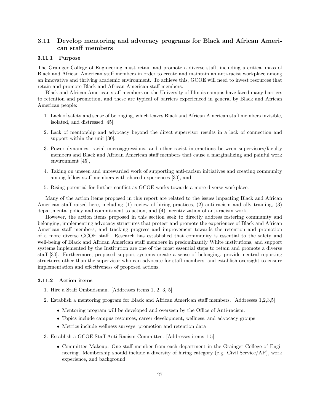### <span id="page-26-0"></span>3.11 Develop mentoring and advocacy programs for Black and African American staff members

#### 3.11.1 Purpose

The Grainger College of Engineering must retain and promote a diverse staff, including a critical mass of Black and African American staff members in order to create and maintain an anti-racist workplace among an innovative and thriving academic environment. To achieve this, GCOE will need to invest resources that retain and promote Black and African American staff members.

Black and African American staff members on the University of Illinois campus have faced many barriers to retention and promotion, and these are typical of barriers experienced in general by Black and African American people:

- 1. Lack of safety and sense of belonging, which leaves Black and African American staff members invisible, isolated, and distressed [\[45\]](#page-50-5),
- 2. Lack of mentorship and advocacy beyond the direct supervisor results in a lack of connection and support within the unit [\[30\]](#page-49-3),
- 3. Power dynamics, racial microaggressions, and other racist interactions between supervisors/faculty members and Black and African American staff members that cause a marginalizing and painful work environment [\[45\]](#page-50-5),
- 4. Taking on unseen and unrewarded work of supporting anti-racism initiatives and creating community among fellow staff members with shared experiences [\[30\]](#page-49-3), and
- 5. Rising potential for further conflict as GCOE works towards a more diverse workplace.

Many of the action items proposed in this report are related to the issues impacting Black and African American staff raised here, including (1) review of hiring practices, (2) anti-racism and ally training, (3) departmental policy and commitment to action, and (4) incentivization of anti-racism work.

However, the action items proposed in this section seek to directly address fostering community and belonging, implementing advocacy structures that protect and promote the experiences of Black and African American staff members, and tracking progress and improvement towards the retention and promotion of a more diverse GCOE staff. Research has established that community is essential to the safety and well-being of Black and African American staff members in predominantly White institutions, and support systems implemented by the Institution are one of the most essential steps to retain and promote a diverse staff [\[30\]](#page-49-3). Furthermore, proposed support systems create a sense of belonging, provide neutral reporting structures other than the supervisor who can advocate for staff members, and establish oversight to ensure implementation and effectiveness of proposed actions.

#### 3.11.2 Action items

- 1. Hire a Staff Ombudsman. [Addresses items 1, 2, 3, 5]
- 2. Establish a mentoring program for Black and African American staff members. [Addresses 1,2,3,5]
	- Mentoring program will be developed and overseen by the Office of Anti-racism.
	- Topics include campus resources, career development, wellness, and advocacy groups
	- Metrics include wellness surveys, promotion and retention data
- 3. Establish a GCOE Staff Anti-Racism Committee. [Addresses items 1-5]
	- Committee Makeup: One staff member from each department in the Grainger College of Engineering. Membership should include a diversity of hiring category (e.g. Civil Service/AP), work experience, and background.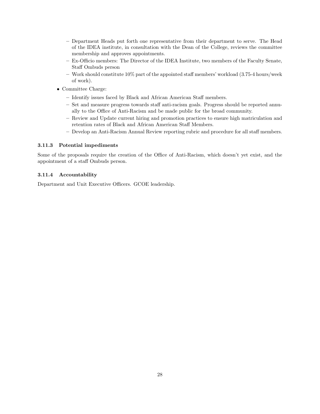- Department Heads put forth one representative from their department to serve. The Head of the IDEA institute, in consultation with the Dean of the College, reviews the committee membership and approves appointments.
- Ex-Officio members: The Director of the IDEA Institute, two members of the Faculty Senate, Staff Ombuds person
- $-$  Work should constitute 10% part of the appointed staff members' workload (3.75-4 hours/week of work).
- Committee Charge:
	- Identify issues faced by Black and African American Staff members.
	- Set and measure progress towards staff anti-racism goals. Progress should be reported annually to the Office of Anti-Racism and be made public for the broad community.
	- Review and Update current hiring and promotion practices to ensure high matriculation and retention rates of Black and African American Staff Members.
	- Develop an Anti-Racism Annual Review reporting rubric and procedure for all staff members.

#### 3.11.3 Potential impediments

Some of the proposals require the creation of the Office of Anti-Racism, which doesn't yet exist, and the appointment of a staff Ombuds person.

#### 3.11.4 Accountability

Department and Unit Executive Officers. GCOE leadership.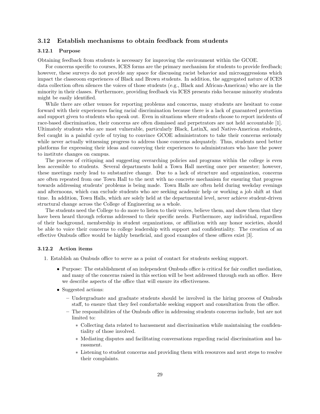#### <span id="page-28-0"></span>3.12 Establish mechanisms to obtain feedback from students

#### 3.12.1 Purpose

Obtaining feedback from students is necessary for improving the environment within the GCOE.

For concerns specific to courses, ICES forms are the primary mechanism for students to provide feedback; however, these surveys do not provide any space for discussing racist behavior and microaggressions which impact the classroom experiences of Black and Brown students. In addition, the aggregated nature of ICES data collection often silences the voices of those students (e.g., Black and African-American) who are in the minority in their classes. Furthermore, providing feedback via ICES presents risks because minority students might be easily identified.

While there are other venues for reporting problems and concerns, many students are hesitant to come forward with their experiences facing racial discrimination because there is a lack of guaranteed protection and support given to students who speak out. Even in situations where students choose to report incidents of race-based discrimination, their concerns are often dismissed and perpetrators are not held accountable [\[1\]](#page-48-6). Ultimately students who are most vulnerable, particularly Black, LatinX, and Native-American students, feel caught in a painful cycle of trying to convince GCOE administrators to take their concerns seriously while never actually witnessing progress to address those concerns adequately. Thus, students need better platforms for expressing their ideas and conveying their experiences to administrators who have the power to institute changes on campus.

The process of critiquing and suggesting overarching policies and programs within the college is even less accessible to students. Several departments hold a Town Hall meeting once per semester; however, these meetings rarely lead to substantive change. Due to a lack of structure and organization, concerns are often repeated from one Town Hall to the next with no concrete mechanism for ensuring that progress towards addressing students' problems is being made. Town Halls are often held during weekday evenings and afternoons, which can exclude students who are seeking academic help or working a job shift at that time. In addition, Town Halls, which are solely held at the departmental level, never achieve student-driven structural change across the College of Engineering as a whole.

The students need the College to do more to listen to their voices, believe them, and show them that they have been heard through reforms addressed to their specific needs. Furthermore, any individual, regardless of their background, membership in student organizations, or affiliation with any honor societies, should be able to voice their concerns to college leadership with support and confidentiality. The creation of an effective Ombuds office would be highly beneficial, and good examples of these offices exist [\[3\]](#page-48-7).

#### 3.12.2 Action items

- 1. Establish an Ombuds office to serve as a point of contact for students seeking support.
	- Purpose: The establishment of an independent Ombuds office is critical for fair conflict mediation, and many of the concerns raised in this section will be best addressed through such an office. Here we describe aspects of the office that will ensure its effectiveness.
	- Suggested actions:
		- Undergraduate and graduate students should be involved in the hiring process of Ombuds staff, to ensure that they feel comfortable seeking support and consultation from the office.
		- The responsibilities of the Ombuds office in addressing students concerns include, but are not limited to:
			- ∗ Collecting data related to harassment and discrimination while maintaining the confidentiality of those involved.
			- ∗ Mediating disputes and facilitating conversations regarding racial discrimination and harassment.
			- ∗ Listening to student concerns and providing them with resources and next steps to resolve their complaints.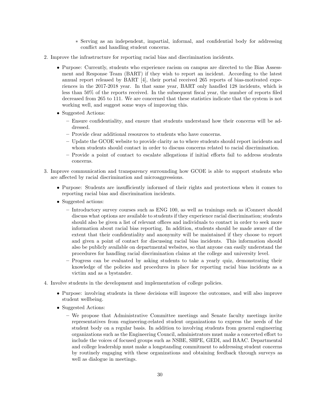- ∗ Serving as an independent, impartial, informal, and confidential body for addressing conflict and handling student concerns.
- 2. Improve the infrastructure for reporting racial bias and discrimination incidents.
	- Purpose: Currently, students who experience racism on campus are directed to the Bias Assessment and Response Team (BART) if they wish to report an incident. According to the latest annual report released by BART [\[4\]](#page-48-8), their portal received 265 reports of bias-motivated experiences in the 2017-2018 year. In that same year, BART only handled 128 incidents, which is less than 50% of the reports received. In the subsequent fiscal year, the number of reports filed decreased from 265 to 111. We are concerned that these statistics indicate that the system is not working well, and suggest some ways of improving this.
	- Suggested Actions:
		- Ensure confidentiality, and ensure that students understand how their concerns will be addressed.
		- Provide clear additional resources to students who have concerns.
		- Update the GCOE website to provide clarity as to where students should report incidents and whom students should contact in order to discuss concerns related to racial discrimination.
		- Provide a point of contact to escalate allegations if initial efforts fail to address students concerns.
- 3. Improve communication and transparency surrounding how GCOE is able to support students who are affected by racial discrimination and microaggressions.
	- Purpose: Students are insufficiently informed of their rights and protections when it comes to reporting racial bias and discrimination incidents.
	- Suggested actions:
		- Introductory survey courses such as ENG 100, as well as trainings such as iConnect should discuss what options are available to students if they experience racial discrimination; students should also be given a list of relevant offices and individuals to contact in order to seek more information about racial bias reporting. In addition, students should be made aware of the extent that their confidentiality and anonymity will be maintained if they choose to report and given a point of contact for discussing racial bias incidents. This information should also be publicly available on departmental websites, so that anyone can easily understand the procedures for handling racial discrimination claims at the college and university level.
		- Progress can be evaluated by asking students to take a yearly quiz, demonstrating their knowledge of the policies and procedures in place for reporting racial bias incidents as a victim and as a bystander.
- 4. Involve students in the development and implementation of college policies.
	- Purpose: involving students in these decisions will improve the outcomes, and will also improve student wellbeing.
	- Suggested Actions:
		- We propose that Administrative Committee meetings and Senate faculty meetings invite representatives from engineering-related student organizations to express the needs of the student body on a regular basis. In addition to involving students from general engineering organizations such as the Engineering Council, administrators must make a concerted effort to include the voices of focused groups such as NSBE, SHPE, GEDI, and BAAC. Departmental and college leadership must make a longstanding commitment to addressing student concerns by routinely engaging with these organizations and obtaining feedback through surveys as well as dialogue in meetings.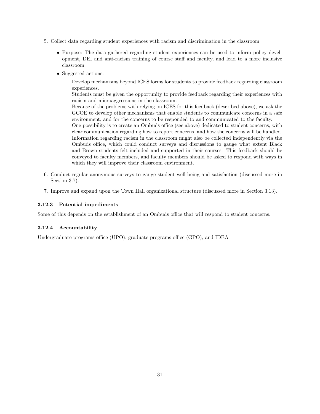- 5. Collect data regarding student experiences with racism and discrimination in the classroom
	- Purpose: The data gathered regarding student experiences can be used to inform policy development, DEI and anti-racism training of course staff and faculty, and lead to a more inclusive classroom.
	- Suggested actions:
		- Develop mechanisms beyond ICES forms for students to provide feedback regarding classroom experiences.

Students must be given the opportunity to provide feedback regarding their experiences with racism and microaggressions in the classroom.

Because of the problems with relying on ICES for this feedback (described above), we ask the GCOE to develop other mechanisms that enable students to communicate concerns in a safe environment, and for the concerns to be responded to and communicated to the faculty.

One possibility is to create an Ombuds office (see above) dedicated to student concerns, with clear communication regarding how to report concerns, and how the concerns will be handled. Information regarding racism in the classroom might also be collected independently via the Ombuds office, which could conduct surveys and discussions to gauge what extent Black and Brown students felt included and supported in their courses. This feedback should be conveyed to faculty members, and faculty members should be asked to respond with ways in which they will improve their classroom environment.

- 6. Conduct regular anonymous surveys to gauge student well-being and satisfaction (discussed more in Section [3.7\)](#page-18-0).
- 7. Improve and expand upon the Town Hall organizational structure (discussed more in Section [3.13\)](#page-31-0).

#### 3.12.3 Potential impediments

Some of this depends on the establishment of an Ombuds office that will respond to student concerns.

#### 3.12.4 Accountability

Undergraduate programs office (UPO), graduate programs office (GPO), and IDEA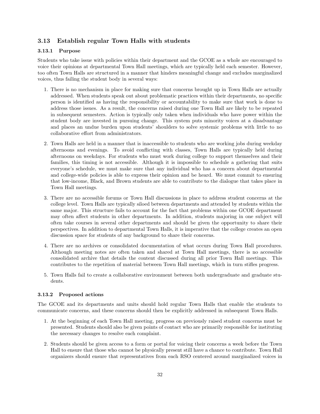#### <span id="page-31-0"></span>3.13 Establish regular Town Halls with students

#### 3.13.1 Purpose

Students who take issue with policies within their department and the GCOE as a whole are encouraged to voice their opinions at departmental Town Hall meetings, which are typically held each semester. However, too often Town Halls are structured in a manner that hinders meaningful change and excludes marginalized voices, thus failing the student body in several ways:

- 1. There is no mechanism in place for making sure that concerns brought up in Town Halls are actually addressed. When students speak out about problematic practices within their departments, no specific person is identified as having the responsibility or accountability to make sure that work is done to address those issues. As a result, the concerns raised during one Town Hall are likely to be repeated in subsequent semesters. Action is typically only taken when individuals who have power within the student body are invested in pursuing change. This system puts minority voices at a disadvantage and places an undue burden upon students' shoulders to solve systemic problems with little to no collaborative effort from administrators.
- 2. Town Halls are held in a manner that is inaccessible to students who are working jobs during weekday afternoons and evenings. To avoid conflicting with classes, Town Halls are typically held during afternoons on weekdays. For students who must work during college to support themselves and their families, this timing is not accessible. Although it is impossible to schedule a gathering that suits everyone's schedule, we must make sure that any individual who has a concern about departmental and college-wide policies is able to express their opinion and be heard. We must commit to ensuring that low-income, Black, and Brown students are able to contribute to the dialogue that takes place in Town Hall meetings.
- 3. There are no accessible forums or Town Hall discussions in place to address student concerns at the college level. Town Halls are typically siloed between departments and attended by students within the same major. This structure fails to account for the fact that problems within one GCOE department may often affect students in other departments. In addition, students majoring in one subject will often take courses in several other departments and should be given the opportunity to share their perspectives. In addition to departmental Town Halls, it is imperative that the college creates an open discussion space for students of any background to share their concerns.
- 4. There are no archives or consolidated documentation of what occurs during Town Hall procedures. Although meeting notes are often taken and shared at Town Hall meetings, there is no accessible consolidated archive that details the content discussed during all prior Town Hall meetings. This contributes to the repetition of material between Town Hall meetings, which in turn stifles progress.
- 5. Town Halls fail to create a collaborative environment between both undergraduate and graduate students.

#### 3.13.2 Proposed actions

The GCOE and its departments and units should hold regular Town Halls that enable the students to communicate concerns, and these concerns should then be explicitly addressed in subsequent Town Halls.

- 1. At the beginning of each Town Hall meeting, progress on previously raised student concerns must be presented. Students should also be given points of contact who are primarily responsible for instituting the necessary changes to resolve each complaint.
- 2. Students should be given access to a form or portal for voicing their concerns a week before the Town Hall to ensure that those who cannot be physically present still have a chance to contribute. Town Hall organizers should ensure that representatives from each RSO centered around marginalized voices in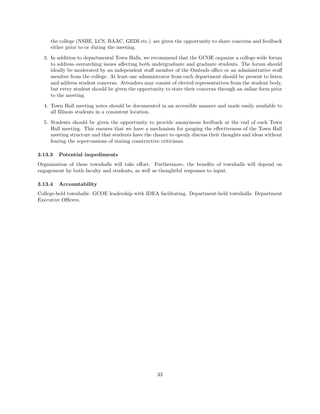the college (NSBE, LCS, BAAC, GEDI etc.) are given the opportunity to share concerns and feedback either prior to or during the meeting.

- 3. In addition to departmental Town Halls, we recommend that the GCOE organize a college-wide forum to address overarching issues affecting both undergraduate and graduate students. The forum should ideally be moderated by an independent staff member of the Ombuds office or an administrative staff member from the college. At least one administrator from each department should be present to listen and address student concerns. Attendees may consist of elected representatives from the student body, but every student should be given the opportunity to state their concerns through an online form prior to the meeting.
- 4. Town Hall meeting notes should be documented in an accessible manner and made easily available to all Illinois students in a consistent location.
- 5. Students should be given the opportunity to provide anonymous feedback at the end of each Town Hall meeting. This ensures that we have a mechanism for gauging the effectiveness of the Town Hall meeting structure and that students have the chance to openly discuss their thoughts and ideas without fearing the repercussions of stating constructive criticisms.

#### 3.13.3 Potential impediments

Organization of these townhalls will take effort. Furthermore, the benefits of townhalls will depend on engagement by both faculty and students, as well as thoughtful responses to input.

#### 3.13.4 Accountability

College-held townhalls: GCOE leadership with IDEA facilitating. Department-held townhalls: Department Executive Officers.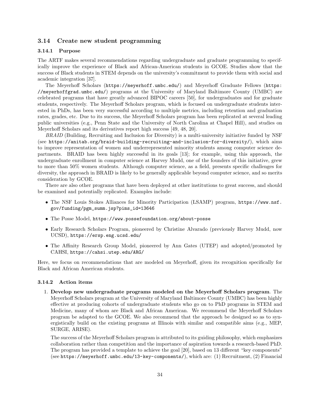#### <span id="page-33-0"></span>3.14 Create new student programming

#### 3.14.1 Purpose

The ARTF makes several recommendations regarding undergraduate and graduate programming to specifically improve the experience of Black and African-American students in GCOE. Studies show that the success of Black students in STEM depends on the university's commitment to provide them with social and academic integration [\[37\]](#page-50-6).

The Meyerhoff Scholars (<https://meyerhoff.umbc.edu/>) and Meyerhoff Graduate Fellows ([https:](https://meyerhoffgrad.umbc.edu/) [//meyerhoffgrad.umbc.edu/](https://meyerhoffgrad.umbc.edu/)) programs at the University of Maryland Baltimore County (UMBC) are celebrated programs that have greatly advanced BIPOC careers [\[50\]](#page-51-0), for undergraduates and for graduate students, respectively. The Meyerhoff Scholars program, which is focused on undergraduate students interested in PhDs, has been very successful according to multiple metrics, including retention and graduation rates, grades, etc. Due to its success, the Meyerhoff Scholars program has been replicated at several leading public universities (e.g., Penn State and the University of North Carolina at Chapel Hill), and studies on Meyerhoff Scholars and its derivatives report high success [\[49,](#page-51-4) [48,](#page-50-7) [20\]](#page-49-4).

BRAID (Building, Recruiting and Inclusion for Diversity) is a multi-university initiative funded by NSF (see <https://anitab.org/braid-building-recruiting-and-inclusion-for-diversity/>), which aims to improve representation of women and underrepresented minority students among computer science departments. BRAID has been highly successful in its goals [\[13\]](#page-48-9); for example, using this approach, the undergraduate enrollment in computer science at Harvey Mudd, one of the founders of this initiative, grew to more than 50% women students. Although computer science, as a field, presents specific challenges for diversity, the approach in BRAID is likely to be generally applicable beyond computer science, and so merits consideration by GCOE.

There are also other programs that have been deployed at other institutions to great success, and should be examined and potentially replicated. Examples include:

- The NSF Louis Stokes Alliances for Minority Participation (LSAMP) program, [https://www.nsf.](https://www.nsf.gov/funding/pgm_summ.jsp?pims_id=13646) [gov/funding/pgm\\_summ.jsp?pims\\_id=13646](https://www.nsf.gov/funding/pgm_summ.jsp?pims_id=13646)
- The Posse Model, <https://www.possefoundation.org/about-posse>
- Early Research Scholars Program, pioneered by Christine Alvarado (previously Harvey Mudd, now UCSD), <https://ersp.eng.ucsd.edu/>
- The Affinity Research Group Model, pioneered by Ann Gates (UTEP) and adopted/promoted by CAHSI, <https://cahsi.utep.edu/ARG/>

Here, we focus on recommendations that are modeled on Meyerhoff, given its recognition specifically for Black and African American students.

#### 3.14.2 Action items

1. Develop new undergraduate programs modeled on the Meyerhoff Scholars program. The Meyerhoff Scholars program at the University of Maryland Baltimore County (UMBC) has been highly effective at producing cohorts of undergraduate students who go on to PhD programs in STEM and Medicine, many of whom are Black and African American. We recommend the Meyerhoff Scholars program be adapted to the GCOE. We also recommend that the approach be designed so as to synergistically build on the existing programs at Illinois with similar and compatible aims (e.g., MEP, SURGE, ARISE).

The success of the Meyerhoff Scholars program is attributed to its guiding philosophy, which emphasizes collaboration rather than competition and the importance of aspiration towards a research-based PhD. The program has provided a template to achieve the goal [\[20\]](#page-49-4), based on 13 different "key components" (see <https://meyerhoff.umbc.edu/13-key-components/>), which are: (1) Recruitment, (2) Financial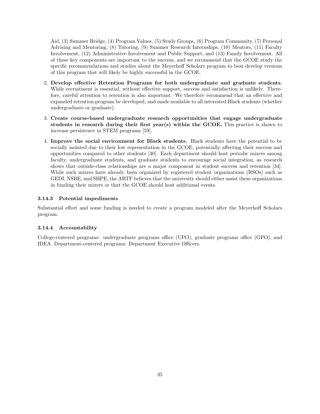Aid, (3) Summer Bridge, (4) Program Values, (5) Study Groups, (6) Program Community, (7) Personal Advising and Mentoring, (8) Tutoring, (9) Summer Research Internships, (10) Mentors, (11) Faculty Involvement, (12) Administrative Involvement and Public Support, and (13) Family Involvement. All of these key components are important to the success, and we recommend that the GCOE study the specific recommendations and studies about the Meyerhoff Scholars program to best develop versions of this program that will likely be highly successful in the GCOE.

- 2. Develop effective Retention Programs for both undergraduate and graduate students. While recruitment is essential, without effective support, success and satisfaction is unlikely. Therefore, careful attention to retention is also important. We therefore recommend that an effective and expanded retention program be developed, and made available to all interested Black students (whether undergraduate or graduate).
- 3. Create course-based undergraduate research opportunities that engage undergraduate students in research during their first year(s) within the GCOE. This practice is shown to increase persistence in STEM programs [\[59\]](#page-51-5).
- 4. Improve the social environment for Black students. Black students have the potential to be socially isolated due to their low representation in the GCOE, potentially affecting their success and opportunities compared to other students [\[40\]](#page-50-8). Each department should host periodic mixers among faculty, undergraduate students, and graduate students to encourage social integration, as research shows that outside-class relationships are a major component in student success and retention [\[34\]](#page-50-9). While such mixers have already been organized by registered student organizations (RSOs) such as GEDI, NSBE, and SHPE, the ARTF believes that the university should either assist these organizations in funding their mixers or that the GCOE should host additional events.

#### 3.14.3 Potential impediments

Substantial effort and some funding is needed to create a program modeled after the Meyerhoff Scholars program.

#### 3.14.4 Accountability

College-centered programs: undergraduate programs office (UPO), graduate programs office (GPO), and IDEA. Department-centered programs: Department Executive Officers.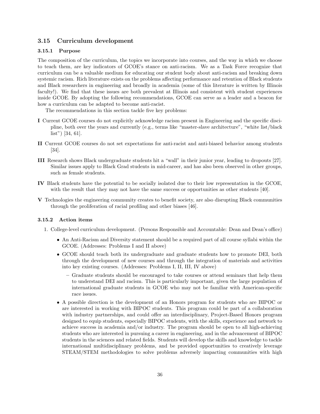#### <span id="page-35-0"></span>3.15 Curriculum development

#### 3.15.1 Purpose

The composition of the curriculum, the topics we incorporate into courses, and the way in which we choose to teach them, are key indicators of GCOE's stance on anti-racism. We as a Task Force recognize that curriculum can be a valuable medium for educating our student body about anti-racism and breaking down systemic racism. Rich literature exists on the problems affecting performance and retention of Black students and Black researchers in engineering and broadly in academia (some of this literature is written by Illinois faculty!). We find that these issues are both prevalent at Illinois and consistent with student experiences inside GCOE. By adopting the following recommendations, GCOE can serve as a leader and a beacon for how a curriculum can be adapted to become anti-racist.

The recommendations in this section tackle five key problems:

- I Current GCOE courses do not explicitly acknowledge racism present in Engineering and the specific discipline, both over the years and currently (e.g., terms like "master-slave architecture", "white list/black list") [\[34,](#page-50-9) [61\]](#page-51-6).
- II Current GCOE courses do not set expectations for anti-racist and anti-biased behavior among students [\[34\]](#page-50-9).
- III Research shows Black undergraduate students hit a "wall" in their junior year, leading to dropouts [\[27\]](#page-49-5). Similar issues apply to Black Grad students in mid-career, and has also been observed in other groups, such as female students.
- IV Black students have the potential to be socially isolated due to their low representation in the GCOE, with the result that they may not have the same success or opportunities as other students [\[40\]](#page-50-8).
- V Technologies the engineering community creates to benefit society, are also disrupting Black communities through the proliferation of racial profiling and other biases [\[46\]](#page-50-10).

#### 3.15.2 Action items

- 1. College-level curriculum development. (Persons Responsible and Accountable: Dean and Dean's office)
	- An Anti-Racism and Diversity statement should be a required part of all course syllabi within the GCOE. (Addresses: Problems I and II above)
	- GCOE should teach both its undergraduate and graduate students how to promote DEI, both through the development of new courses and through the integration of materials and activities into key existing courses. (Addresses: Problems I, II, III, IV above)
		- Graduate students should be encouraged to take courses or attend seminars that help them to understand DEI and racism. This is particularly important, given the large population of international graduate students in GCOE who may not be familiar with American-specific race issues.
	- A possible direction is the development of an Honors program for students who are BIPOC or are interested in working with BIPOC students. This program could be part of a collaboration with industry partnerships, and could offer an interdisciplinary, Project-Based Honors program designed to equip students, especially BIPOC students, with the skills, experience and network to achieve success in academia and/or industry. The program should be open to all high-achieving students who are interested in pursuing a career in engineering, and in the advancement of BIPOC students in the sciences and related fields. Students will develop the skills and knowledge to tackle international multidisciplinary problems, and be provided opportunities to creatively leverage STEAM/STEM methodologies to solve problems adversely impacting communities with high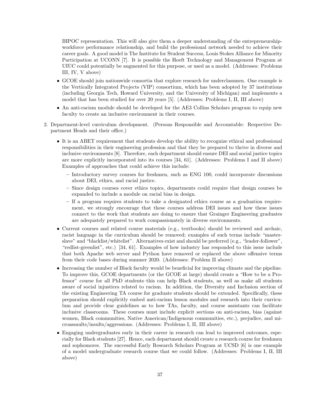BIPOC representation. This will also give them a deeper understanding of the entrepreneurshipworkforce performance relationship, and build the professional network needed to achieve their career goals. A good model is The Institute for Student Success, Louis Stokes Alliance for Minority Participation at UCONN [\[7\]](#page-48-10). It is possible the Hoeft Technology and Management Program at UIUC could potentially be augmented for this purpose, or used as a model. (Addresses: Problems III, IV, V above)

- GCOE should join nationwide consortia that explore research for underclassmen. One example is the Vertically Integrated Projects (VIP) consortium, which has been adopted by 37 institutions (including Georgia Tech, Howard University, and the University of Michigan) and implements a model that has been studied for over 20 years [\[5\]](#page-48-11). (Addresses: Problems I, II, III above)
- An anti-racism module should be developed for the AE3 Collins Scholars program to equip new faculty to create an inclusive environment in their courses.
- 2. Department-level curriculum development. (Persons Responsible and Accountable: Respective Department Heads and their office.)
	- It is an ABET requirement that students develop the ability to recognize ethical and professional responsibilities in their engineering profession and that they be prepared to thrive in diverse and inclusive environments [\[8\]](#page-48-12). Therefore, each department should ensure DEI and social justice topics are more explicitly incorporated into its courses [\[34,](#page-50-9) [61\]](#page-51-6). (Addresses: Problems I and II above) Examples of approaches that could achieve this include:
		- Introductory survey courses for freshmen, such as ENG 100, could incorporate discussions about DEI, ethics, and racial justice.
		- Since design courses cover ethics topics, departments could require that design courses be expanded to include a module on racial bias in design.
		- If a program requires students to take a designated ethics course as a graduation requirement, we strongly encourage that these courses address DEI issues and how these issues connect to the work that students are doing to ensure that Grainger Engineering graduates are adequately prepared to work compassionately in diverse environments.
	- Current courses and related course materials (e.g., textbooks) should be reviewed and archaic, racist language in the curriculum should be removed; examples of such terms include "masterslave" and "blacklist/whitelist". Alternatives exist and should be preferred (e.g., "leader-follower", "redlist-greenlist", etc.) [\[34,](#page-50-9) [61\]](#page-51-6). Examples of how industry has responded to this issue include that both Apache web server and Python have removed or replaced the above offensive terms from their code bases during summer 2020. (Addresses: Problem II above)
	- Increasing the number of Black faculty would be beneficial for improving climate and the pipeline. To improve this, GCOE departments (or the GCOE at large) should create a "How to be a Professor" course for all PhD students–this can help Black students, as well as make all students aware of social injustices related to racism. In addition, the Diversity and Inclusion section of the existing Engineering TA course for graduate students should be extended. Specifically, these preparation should explicitly embed anti-racism lesson modules and research into their curriculum and provide clear guidelines as to how TAs, faculty, and course assistants can facilitate inclusive classrooms. These courses must include explicit sections on anti-racism, bias (against women, Black communities, Native American/Indigenous communities, etc.), prejudice, and microassaults/insults/aggressions. (Addresses: Problems I, II, III above)
	- Engaging undergraduates early in their career in research can lead to improved outcomes, especially for Black students [\[27\]](#page-49-5). Hence, each department should create a research course for freshmen and sophomores. The successful Early Research Scholars Program at UCSD [\[6\]](#page-48-13) is one example of a model undergraduate research course that we could follow. (Addresses: Problems I, II, III above)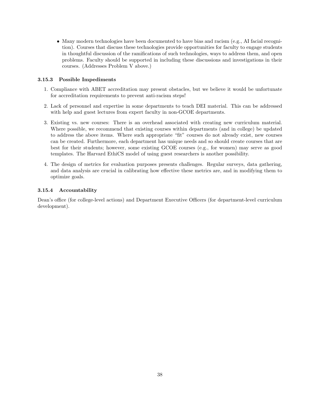• Many modern technologies have been documented to have bias and racism (e.g., AI facial recognition). Courses that discuss these technologies provide opportunities for faculty to engage students in thoughtful discussion of the ramifications of such technologies, ways to address them, and open problems. Faculty should be supported in including these discussions and investigations in their courses. (Addresses Problem V above.)

#### 3.15.3 Possible Impediments

- 1. Compliance with ABET accreditation may present obstacles, but we believe it would be unfortunate for accreditation requirements to prevent anti-racism steps!
- 2. Lack of personnel and expertise in some departments to teach DEI material. This can be addressed with help and guest lectures from expert faculty in non-GCOE departments.
- 3. Existing vs. new courses: There is an overhead associated with creating new curriculum material. Where possible, we recommend that existing courses within departments (and in college) be updated to address the above items. Where such appropriate "fit" courses do not already exist, new courses can be created. Furthermore, each department has unique needs and so should create courses that are best for their students; however, some existing GCOE courses (e.g., for women) may serve as good templates. The Harvard EthiCS model of using guest researchers is another possibility.
- 4. The design of metrics for evaluation purposes presents challenges. Regular surveys, data gathering, and data analysis are crucial in calibrating how effective these metrics are, and in modifying them to optimize goals.

#### 3.15.4 Accountability

Dean's office (for college-level actions) and Department Executive Officers (for department-level curriculum development).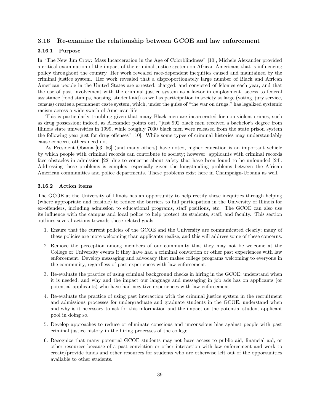#### <span id="page-38-0"></span>3.16 Re-examine the relationship between GCOE and law enforcement

#### 3.16.1 Purpose

In "The New Jim Crow: Mass Incarceration in the Age of Colorblindness" [\[10\]](#page-48-14), Michele Alexander provided a critical examination of the impact of the criminal justice system on African Americans that is influencing policy throughout the country. Her work revealed race-dependent inequities caused and maintained by the criminal justice system. Her work revealed that a disproportionately large number of Black and African American people in the United States are arrested, charged, and convicted of felonies each year, and that the use of past involvement with the criminal justice system as a factor in employment, access to federal assistance (food stamps, housing, student aid) as well as participation in society at large (voting, jury service, census) creates a permanent caste system, which, under the guise of "the war on drugs," has legalized systemic racism across a wide swath of American life.

This is particularly troubling given that many Black men are incarcerated for non-violent crimes, such as drug possession; indeed, as Alexander points out, "just 992 black men received a bachelor's degree from Illinois state universities in 1999, while roughly 7000 black men were released from the state prison system the following year just for drug offenses" [\[10\]](#page-48-14). While some types of criminal histories may understandably cause concern, others need not.

As President Obama [\[63,](#page-51-7) [56\]](#page-51-8) (and many others) have noted, higher education is an important vehicle by which people with criminal records can contribute to society; however, applicants with criminal records face obstacles in admission [\[22\]](#page-49-6) due to concerns about safety that have been found to be unfounded [\[24\]](#page-49-7). Addressing these problems is complex, especially given the longstanding problems between the African American communities and police departments. These problems exist here in Champaign-Urbana as well.

#### 3.16.2 Action items

The GCOE at the University of Illinois has an opportunity to help rectify these inequities through helping (where appropriate and feasible) to reduce the barriers to full participation in the University of Illinois for ex-offenders, including admission to educational programs, staff positions, etc. The GCOE can also use its influence with the campus and local police to help protect its students, staff, and faculty. This section outlines several actions towards these related goals.

- 1. Ensure that the current policies of the GCOE and the University are communicated clearly; many of these policies are more welcoming than applicants realize, and this will address some of these concerns.
- 2. Remove the perception among members of our community that they may not be welcome at the College or University events if they have had a criminal conviction or other past experiences with law enforcement. Develop messaging and advocacy that makes college programs welcoming to everyone in the community, regardless of past experiences with law enforcement.
- 3. Re-evaluate the practice of using criminal background checks in hiring in the GCOE: understand when it is needed, and why and the impact our language and messaging in job ads has on applicants (or potential applicants) who have had negative experiences with law enforcement.
- 4. Re-evaluate the practice of using past interaction with the criminal justice system in the recruitment and admissions processes for undergraduate and graduate students in the GCOE: understand when and why is it necessary to ask for this information and the impact on the potential student applicant pool in doing so.
- 5. Develop approaches to reduce or eliminate conscious and unconscious bias against people with past criminal justice history in the hiring processes of the college.
- 6. Recognize that many potential GCOE students may not have access to public aid, financial aid, or other resources because of a past conviction or other interaction with law enforcement and work to create/provide funds and other resources for students who are otherwise left out of the opportunities available to other students.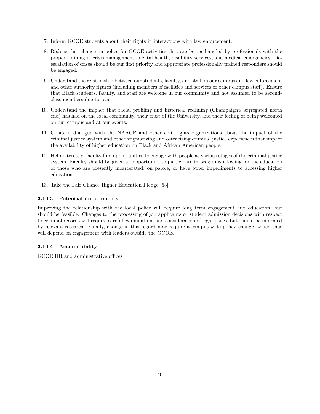- 7. Inform GCOE students about their rights in interactions with law enforcement.
- 8. Reduce the reliance on police for GCOE activities that are better handled by professionals with the proper training in crisis management, mental health, disability services, and medical emergencies. Deescalation of crises should be our first priority and appropriate professionally trained responders should be engaged.
- 9. Understand the relationship between our students, faculty, and staff on our campus and law enforcement and other authority figures (including members of facilities and services or other campus staff). Ensure that Black students, faculty, and staff are welcome in our community and not assumed to be secondclass members due to race.
- 10. Understand the impact that racial profiling and historical redlining (Champaign's segregated north end) has had on the local community, their trust of the University, and their feeling of being welcomed on our campus and at our events.
- 11. Create a dialogue with the NAACP and other civil rights organizations about the impact of the criminal justice system and other stigmatizing and ostracizing criminal justice experiences that impact the availability of higher education on Black and African American people.
- 12. Help interested faculty find opportunities to engage with people at various stages of the criminal justice system. Faculty should be given an opportunity to participate in programs allowing for the education of those who are presently incarcerated, on parole, or have other impediments to accessing higher education.
- 13. Take the Fair Chance Higher Education Pledge [\[63\]](#page-51-7).

### 3.16.3 Potential impediments

Improving the relationship with the local police will require long term engagement and education, but should be feasible. Changes to the processing of job applicants or student admission decisions with respect to criminal records will require careful examination, and consideration of legal issues, but should be informed by relevant research. Finally, change in this regard may require a campus-wide policy change, which thus will depend on engagement with leaders outside the GCOE.

#### 3.16.4 Accountability

GCOE HR and administrative offices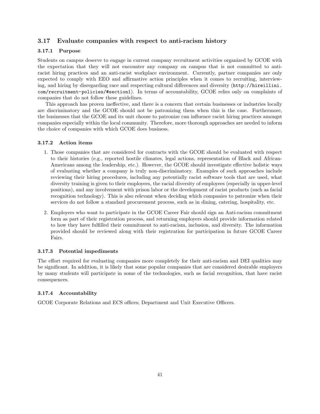#### <span id="page-40-0"></span>3.17 Evaluate companies with respect to anti-racism history

#### 3.17.1 Purpose

Students on campus deserve to engage in current company recruitment activities organized by GCOE with the expectation that they will not encounter any company on campus that is not committed to antiracist hiring practices and an anti-racist workplace environment. Currently, partner companies are only expected to comply with EEO and affirmative action principles when it comes to recruiting, interviewing, and hiring by disregarding race and respecting cultural differences and diversity ([http://hireillini.](http://hireillini.com/recruitment-policies/#section1) [com/recruitment-policies/#section1](http://hireillini.com/recruitment-policies/#section1)). In terms of accountability, GCOE relies only on complaints of companies that do not follow these guidelines.

This approach has proven ineffective, and there is a concern that certain businesses or industries locally are discriminatory and the GCOE should not be patronizing them when this is the case. Furthermore, the businesses that the GCOE and its unit choose to patronize can influence racist hiring practices amongst companies especially within the local community. Therefore, more thorough approaches are needed to inform the choice of companies with which GCOE does business.

#### 3.17.2 Action items

- 1. Those companies that are considered for contracts with the GCOE should be evaluated with respect to their histories (e.g., reported hostile climates, legal actions, representation of Black and African-Americans among the leadership, etc.). However, the GCOE should investigate effective holistic ways of evaluating whether a company is truly non-discriminatory. Examples of such approaches include reviewing their hiring procedures, including any potentially racist software tools that are used, what diversity training is given to their employees, the racial diversity of employees (especially in upper-level positions), and any involvement with prison labor or the development of racist products (such as facial recognition technology). This is also relevant when deciding which companies to patronize when their services do not follow a standard procurement process, such as in dining, catering, hospitality, etc.
- 2. Employers who want to participate in the GCOE Career Fair should sign an Anti-racism commitment form as part of their registration process, and returning employers should provide information related to how they have fulfilled their commitment to anti-racism, inclusion, and diversity. The information provided should be reviewed along with their registration for participation in future GCOE Career Fairs.

#### 3.17.3 Potential impediments

The effort required for evaluating companies more completely for their anti-racism and DEI qualities may be significant. In addition, it is likely that some popular companies that are considered desirable employers by many students will participate in some of the technologies, such as facial recognition, that have racist consequences.

#### 3.17.4 Accountability

GCOE Corporate Relations and ECS offices; Department and Unit Executive Officers.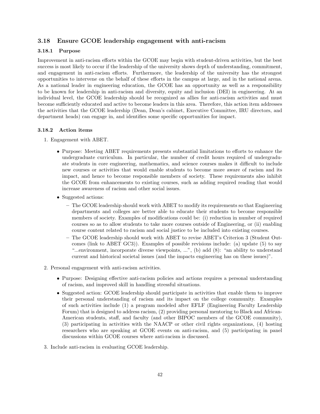#### <span id="page-41-0"></span>3.18 Ensure GCOE leadership engagement with anti-racism

#### 3.18.1 Purpose

Improvement in anti-racism efforts within the GCOE may begin with student-driven activities, but the best success is most likely to occur if the leadership of the university shows depth of understanding, commitment, and engagement in anti-racism efforts. Furthermore, the leadership of the university has the strongest opportunities to intervene on the behalf of these efforts in the campus at large, and in the national arena. As a national leader in engineering education, the GCOE has an opportunity as well as a responsibility to be known for leadership in anti-racism and diversity, equity and inclusion (DEI) in engineering. At an individual level, the GCOE leadership should be recognized as allies for anti-racism activities and must become sufficiently educated and active to become leaders in this area. Therefore, this action item addresses the activities that the GCOE leadership (Dean, Dean's cabinet, Executive Committee, IRU directors, and department heads) can engage in, and identifies some specific opportunities for impact.

#### 3.18.2 Action items

- 1. Engagement with ABET.
	- Purpose: Meeting ABET requirements presents substantial limitations to efforts to enhance the undergraduate curriculum. In particular, the number of credit hours required of undergraduate students in core engineering, mathematics, and science courses makes it difficult to include new courses or activities that would enable students to become more aware of racism and its impact, and hence to become responsible members of society. These requirements also inhibit the GCOE from enhancements to existing courses, such as adding required reading that would increase awareness of racism and other social issues.
	- Suggested actions:
		- The GCOE leadership should work with ABET to modify its requirements so that Engineering departments and colleges are better able to educate their students to become responsible members of society. Examples of modifications could be: (i) reduction in number of required courses so as to allow students to take more courses outside of Engineering, or (ii) enabling course content related to racism and social justice to be included into existing courses.
		- The GCOE leadership should work with ABET to revise ABET's Criterion 3 (Student Outcomes [\(link to ABET GC3\)\)](https://www.abet.org/accreditation/accreditation-criteria/criteria-for-accrediting-engineering-programs-2019-2020/#GC3). Examples of possible revisions include: (a) update (5) to say "...environment, incorporate diverse viewpoints, ...", (b) add (8): "an ability to understand current and historical societal issues (and the impacts engineering has on these issues)".
- 2. Personal engagement with anti-racism activities.
	- Purpose: Designing effective anti-racism policies and actions requires a personal understanding of racism, and improved skill in handling stressful situations.
	- Suggested action: GCOE leadership should participate in activities that enable them to improve their personal understanding of racism and its impact on the college community. Examples of such activities include (1) a program modeled after EFLF (Engineering Faculty Leadership Forum) that is designed to address racism, (2) providing personal mentoring to Black and African-American students, staff, and faculty (and other BIPOC members of the GCOE community), (3) participating in activities with the NAACP or other civil rights organizations, (4) hosting researchers who are speaking at GCOE events on anti-racism, and (5) participating in panel discussions within GCOE courses where anti-racism is discussed.
- 3. Include anti-racism in evaluating GCOE leadership.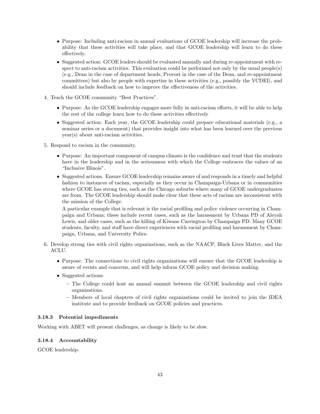- Purpose: Including anti-racism in annual evaluations of GCOE leadership will increase the probability that these activities will take place, and that GCOE leadership will learn to do these effectively.
- Suggested action: GCOE leaders should be evaluated annually and during re-appointment with respect to anti-racism activities. This evaluation could be performed not only by the usual people(s) (e.g., Dean in the case of department heads, Provost in the case of the Dean, and re-appointment committees) but also by people with expertise in these activities (e.g., possibly the VCDEI), and should include feedback on how to improve the effectiveness of the activities.
- 4. Teach the GCOE community "Best Practices".
	- Purpose: As the GCOE leadership engages more fully in anti-racism efforts, it will be able to help the rest of the college learn how to do these activities effectively
	- Suggested action: Each year, the GCOE leadership could prepare educational materials (e.g., a seminar series or a document) that provides insight into what has been learned over the previous year(s) about anti-racism activities.
- 5. Respond to racism in the community.
	- Purpose: An important component of campus climate is the confidence and trust that the students have in the leadership and in the seriousness with which the College embraces the values of an "Inclusive Illinois".
	- Suggested actions. Ensure GCOE leadership remains aware of and responds in a timely and helpful fashion to instances of racism, especially as they occur in Champaign-Urbana or in communities where GCOE has strong ties, such as the Chicago suburbs where many of GCOE undergraduates are from. The GCOE leadership should make clear that these acts of racism are inconsistent with the mission of the College.

A particular example that is relevant is the racial profiling and police violence occurring in Champaign and Urbana; these include recent cases, such as the harassment by Urbana PD of Aleyah Lewis, and older cases, such as the killing of Kiwane Carrington by Champaign PD. Many GCOE students, faculty, and staff have direct experiences with racial profiling and harassment by Champaign, Urbana, and University Police.

- 6. Develop strong ties with civil rights organizations, such as the NAACP, Black Lives Matter, and the ACLU.
	- Purpose: The connections to civil rights organizations will ensure that the GCOE leadership is aware of events and concerns, and will help inform GCOE policy and decision making.
	- Suggested actions:
		- The College could host an annual summit between the GCOE leadership and civil rights organizations.
		- Members of local chapters of civil rights organizations could be invited to join the IDEA institute and to provide feedback on GCOE policies and practices.

#### 3.18.3 Potential impediments

Working with ABET will present challenges, as change is likely to be slow.

#### 3.18.4 Accountability

GCOE leadership.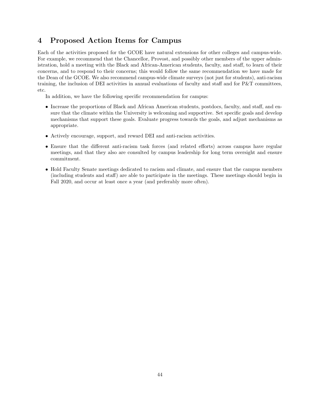# <span id="page-43-0"></span>4 Proposed Action Items for Campus

Each of the activities proposed for the GCOE have natural extensions for other colleges and campus-wide. For example, we recommend that the Chancellor, Provost, and possibly other members of the upper administration, hold a meeting with the Black and African-American students, faculty, and staff, to learn of their concerns, and to respond to their concerns; this would follow the same recommendation we have made for the Dean of the GCOE. We also recommend campus-wide climate surveys (not just for students), anti-racism training, the inclusion of DEI activities in annual evaluations of faculty and staff and for P&T committees, etc.

In addition, we have the following specific recommendation for campus:

- Increase the proportions of Black and African American students, postdocs, faculty, and staff, and ensure that the climate within the University is welcoming and supportive. Set specific goals and develop mechanisms that support these goals. Evaluate progress towards the goals, and adjust mechanisms as appropriate.
- Actively encourage, support, and reward DEI and anti-racism activities.
- Ensure that the different anti-racism task forces (and related efforts) across campus have regular meetings, and that they also are consulted by campus leadership for long term oversight and ensure commitment.
- Hold Faculty Senate meetings dedicated to racism and climate, and ensure that the campus members (including students and staff) are able to participate in the meetings. These meetings should begin in Fall 2020, and occur at least once a year (and preferably more often).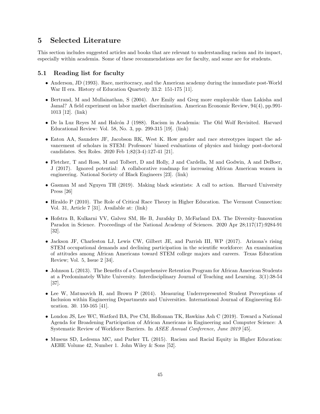### <span id="page-44-0"></span>5 Selected Literature

This section includes suggested articles and books that are relevant to understanding racism and its impact, especially within academia. Some of these recommendations are for faculty, and some are for students.

#### <span id="page-44-1"></span>5.1 Reading list for faculty

- Anderson, JD (1993). Race, meritocracy, and the American academy during the immediate post-World War II era. History of Education Quarterly 33.2: 151-175 [\[11\]](#page-48-15).
- Bertrand, M and Mullainathan, S (2004). Are Emily and Greg more employable than Lakisha and Jamal? A field experiment on labor market discrimination. American Economic Review, 94(4), pp.991- 1013 [\[12\]](#page-48-16). [\(link\)](https://www.aeaweb.org/articles?id=10.1257/0002828042002561)
- De la Luz Reyes M and Halcón J (1988). Racism in Academia: The Old Wolf Revisited. Harvard Educational Review: Vol. 58, No. 3, pp. 299-315 [\[19\]](#page-49-8). [\(link\)](https://doi.org/10.17763/haer.58.3.9257765135854643)
- Eaton AA, Saunders JF, Jacobson RK, West K. How gender and race stereotypes impact the advancement of scholars in STEM: Professors' biased evaluations of physics and biology post-doctoral candidates. Sex Roles. 2020 Feb 1;82(3-4):127-41 [\[21\]](#page-49-9).
- Fletcher, T and Ross, M and Tolbert, D and Holly, J and Cardella, M and Godwin, A and DeBoer, J (2017). Ignored potential: A collaborative roadmap for increasing African American women in engineering. National Society of Black Engineers [\[23\]](#page-49-10). [\(link\)](https://research.swe.org/wp-content/uploads/sites/2/2017/10/NSBE-IgnoredPotential-Whitepaper-FINAL.pdf)
- Gasman M and Nguyen TH (2019). Making black scientists: A call to action. Harvard University Press [\[26\]](#page-49-11)
- Hiraldo P (2010). The Role of Critical Race Theory in Higher Education. The Vermont Connection: Vol. 31, Article 7 [\[31\]](#page-49-12). Available at: [\(link\)](https://scholarworks.uvm.edu/tvc/vol31/iss1/7)
- Hofstra B, Kulkarni VV, Galvez SM, He B, Jurafsky D, McFarland DA. The Diversity–Innovation Paradox in Science. Proceedings of the National Academy of Sciences. 2020 Apr 28;117(17):9284-91 [\[32\]](#page-49-13).
- Jackson JF, Charleston LJ, Lewis CW, Gilbert JE, and Parrish III, WP (2017). Arizona's rising STEM occupational demands and declining participation in the scientific workforce: An examination of attitudes among African Americans toward STEM college majors and careers. Texas Education Review; Vol. 5, Issue 2 [\[34\]](#page-50-9).
- Johnson L (2013). The Benefits of a Comprehensive Retention Program for African American Students at a Predominately White University. Interdisciplinary Journal of Teaching and Learning. 3(1):38-54 [\[37\]](#page-50-6).
- Lee W, Matusovich H, and Brown P (2014). Measuring Underrepresented Student Perceptions of Inclusion within Engineering Departments and Universities. International Journal of Engineering Education. 30. 150-165 [\[41\]](#page-50-11).
- London JS, Lee WC, Watford BA, Pee CM, Holloman TK, Hawkins Ash C (2019). Toward a National Agenda for Broadening Participation of African Americans in Engineering and Computer Science: A Systematic Review of Workforce Barriers. In ASEE Annual Conference, June 2019 [\[45\]](#page-50-5).
- Museus SD, Ledesma MC, and Parker TL (2015). Racism and Racial Equity in Higher Education: AEHE Volume 42, Number 1. John Wiley & Sons [\[52\]](#page-51-9).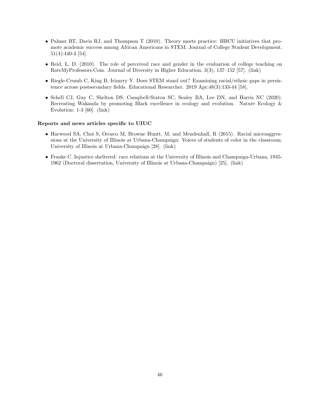- Palmer RT, Davis RJ, and Thompson T (2010). Theory meets practice: HBCU initiatives that promote academic success among African Americans in STEM. Journal of College Student Development. 51(4):440-3 [\[54\]](#page-51-10).
- Reid, L. D. (2010). The role of perceived race and gender in the evaluation of college teaching on RateMyProfessors.Com. Journal of Diversity in Higher Education, 3(3), 137–152 [\[57\]](#page-51-11). [\(link\)](https://doi.org/10.1037/a0019865)
- Riegle-Crumb C, King B, Irizarry Y. Does STEM stand out? Examining racial/ethnic gaps in persistence across postsecondary fields. Educational Researcher. 2019 Apr;48(3):133-44 [\[58\]](#page-51-12).
- Schell CJ, Guy C, Shelton DS, Campbell-Staton SC, Sealey BA, Lee DN, and Harris NC (2020). Recreating Wakanda by promoting Black excellence in ecology and evolution. Nature Ecology & Evolution: 1-3 [\[60\]](#page-51-13). [\(link\)](https://doi.org/10.1038/s41559-020-1266-7)

#### Reports and news articles specific to UIUC

- Harwood SA, Choi S, Orozco M, Browne Huntt, M, and Mendenhall, R (2015). Racial microaggressions at the University of Illinois at Urbana-Champaign: Voices of students of color in the classroom. University of Illinois at Urbana-Champaign [\[28\]](#page-49-2). [\(link\)](http://www.racialmicroaggressions.illinois.edu/)
- Franke C. Injustice sheltered: race relations at the University of Illinois and Champaign-Urbana, 1945- 1962 (Doctoral dissertation, University of Illinois at Urbana-Champaign) [\[25\]](#page-49-0). [\(link\)](http://hdl.handle.net/2142/21117)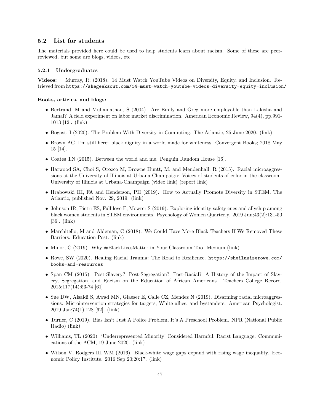#### <span id="page-46-0"></span>5.2 List for students

The materials provided here could be used to help students learn about racism. Some of these are peerreviewed, but some are blogs, videos, etc.

#### 5.2.1 Undergraduates

Videos: Murray, R. (2018). 14 Must Watch YouTube Videos on Diversity, Equity, and Inclusion. Retrieved from <https://shegeeksout.com/14-must-watch-youtube-videos-diversity-equity-inclusion/>

#### Books, articles, and blogs:

- Bertrand, M and Mullainathan, S (2004). Are Emily and Greg more employable than Lakisha and Jamal? A field experiment on labor market discrimination. American Economic Review, 94(4), pp.991- 1013 [\[12\]](#page-48-16). [\(link\)](https://www.aeaweb.org/articles?id=10.1257/0002828042002561)
- Bogost, I (2020). The Problem With Diversity in Computing. The Atlantic, 25 June 2020. [\(link\)](https://www.theatlantic.com/technology/archive/2019/06/tech-computers-are-bigger-problem-diversity/592456/)
- Brown AC. I'm still here: black dignity in a world made for whiteness. Convergent Books; 2018 May 15 [\[14\]](#page-48-17).
- Coates TN (2015). Between the world and me. Penguin Random House [\[16\]](#page-48-18).
- Harwood SA, Choi S, Orozco M, Browne Huntt, M, and Mendenhall, R (2015). Racial microaggressions at the University of Illinois at Urbana-Champaign: Voices of students of color in the classroom. University of Illinois at Urbana-Champaign [\(video link\)](http://www.racialmicroaggressions.illinois.edu/) [\(report link\)](https://www.racialmicroaggressions.illinois.edu/files/2015/03/RMA-Classroom-Report.pdf)
- Hrabowski III, FA and Henderson, PH (2019). How to Actually Promote Diversity in STEM. The Atlantic, published Nov. 29, 2019. [\(link\)](https://www.theatlantic.com/ideas/archive/2019/11/how-umbc-got-minority-students-stick-stem/602635/)
- Johnson IR, Pietri ES, Fullilove F, Mowrer S (2019). Exploring identity-safety cues and allyship among black women students in STEM environments. Psychology of Women Quarterly. 2019 Jun;43(2):131-50 [\[36\]](#page-50-12). [\(link\)](https://psycnet.apa.org/record/2019-30214-001)
- Marchitello, M and Aldeman, C (2018). We Could Have More Black Teachers If We Removed These Barriers. Education Post. [\(link\)](https://educationpost.org/we-could-have-more-black-teachers-if-we-removed-these-barriers/)
- Minor, C (2019). Why  $\#BlackLivesMatter$  in Your Classroom Too. Medium [\(link\)](https://medium.com/@heinemann/why-blacklivesmatter-in-your-classroom-too-d132ac35d21b)
- Rowe, SW (2020). Healing Racial Trauma: The Road to Resilience. [https://sheilawiserowe.com/](https://sheilawiserowe.com/books-and-resources) [books-and-resources](https://sheilawiserowe.com/books-and-resources)
- Span CM (2015). Post-Slavery? Post-Segregation? Post-Racial? A History of the Impact of Slavery, Segregation, and Racism on the Education of African Americans. Teachers College Record. 2015;117(14):53-74 [\[61\]](#page-51-6)
- Sue DW, Alsaidi S, Awad MN, Glaeser E, Calle CZ, Mendez N (2019). Disarming racial microaggressions: Microintervention strategies for targets, White allies, and bystanders. American Psychologist. 2019 Jan;74(1):128 [\[62\]](#page-51-3). [\(link\)](https://engineering.purdue.edu/Engr/People/faculty-retention-success/Files/Racial-Microaggressions.pdf)
- Turner, C (2019). Bias Isn't Just A Police Problem, It's A Preschool Problem. NPR (National Public Radio) [\(link\)](https://www.npr.org/sections/ed/2016/09/28/495488716/bias-isnt-just-a-police-problem-its-a-preschool-problem)
- Williams, TL (2020). 'Underrepresented Minority' Considered Harmful, Racist Language. Communications of the ACM, 19 June 2020. [\(link\)](https://cacm.acm.org/blogs/blog-cacm/245710-underrepresented-minority-considered-harmful-racist-language/fulltext)
- Wilson V, Rodgers III WM (2016). Black-white wage gaps expand with rising wage inequality. Economic Policy Institute. 2016 Sep 20;20:17. [\(link\)](https://www.epi.org/publication/black-white-wage-gaps-expand-with-rising-wage-inequality/)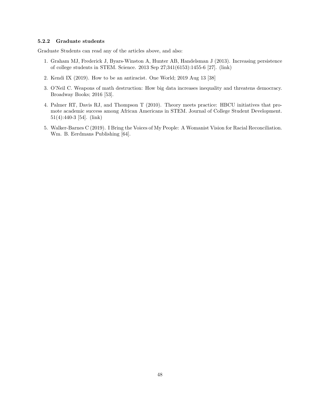#### 5.2.2 Graduate students

Graduate Students can read any of the articles above, and also:

- 1. Graham MJ, Frederick J, Byars-Winston A, Hunter AB, Handelsman J (2013). Increasing persistence of college students in STEM. Science. 2013 Sep 27;341(6153):1455-6 [\[27\]](#page-49-5). [\(link\)](http://doi.org/10.1126/science.1240487)
- 2. Kendi IX (2019). How to be an antiracist. One World; 2019 Aug 13 [\[38\]](#page-50-13)
- 3. O'Neil C. Weapons of math destruction: How big data increases inequality and threatens democracy. Broadway Books; 2016 [\[53\]](#page-51-14).
- 4. Palmer RT, Davis RJ, and Thompson T (2010). Theory meets practice: HBCU initiatives that promote academic success among African Americans in STEM. Journal of College Student Development. 51(4):440-3 [\[54\]](#page-51-10). [\(link\)](https://doi.org/10.1353/csd.0.0146)
- 5. Walker-Barnes C (2019). I Bring the Voices of My People: A Womanist Vision for Racial Reconciliation. Wm. B. Eerdmans Publishing [\[64\]](#page-52-2).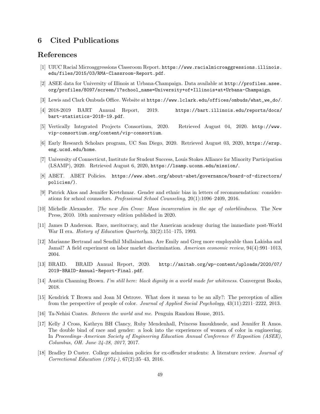## <span id="page-48-0"></span>6 Cited Publications

### References

- <span id="page-48-6"></span>[1] UIUC Racial Microaggressions Classroom Report. [https://www.racialmicroaggressions.illinois.](https://www.racialmicroaggressions.illinois. edu/files/2015/03/RMA-Classroom-Report.pdf) [edu/files/2015/03/RMA-Classroom-Report.pdf](https://www.racialmicroaggressions.illinois. edu/files/2015/03/RMA-Classroom-Report.pdf).
- <span id="page-48-1"></span>[2] ASEE data for University of Illinois at Urbana-Champaign. Data available at [http://profiles.asee.](http://profiles.asee.org/profiles/8097/screen/1?school_name=University+of+Illinois+at+Urbana-Champaign) [org/profiles/8097/screen/1?school\\_name=University+of+Illinois+at+Urbana-Champaign](http://profiles.asee.org/profiles/8097/screen/1?school_name=University+of+Illinois+at+Urbana-Champaign).
- <span id="page-48-7"></span>[3] Lewis and Clark Ombuds Office. Website at [https://www.lclark.edu/offices/ombuds/what\\_we\\_do/](https://www.lclark.edu/offices/ombuds/what_we_do/).
- <span id="page-48-8"></span>[4] 2018-2019 BART Annual Report, 2019. [https://bart.illinois.edu/reports/docs/](https://bart.illinois.edu/reports/docs/bart-statistics-2018-19.pdf) [bart-statistics-2018-19.pdf](https://bart.illinois.edu/reports/docs/bart-statistics-2018-19.pdf).
- <span id="page-48-11"></span>[5] Vertically Integrated Projects Consortium, 2020. Retrieved August 04, 2020. [http://www.](http://www.vip-consortium.org/content/vip- consortium ) [vip-consortium.org/content/vip-consortium](http://www.vip-consortium.org/content/vip- consortium ).
- <span id="page-48-13"></span>[6] Early Research Scholars program, UC San Diego, 2020. Retrieved August 03, 2020, [https://ersp.](https://ersp.eng.ucsd.edu/home) [eng.ucsd.edu/home](https://ersp.eng.ucsd.edu/home).
- <span id="page-48-10"></span>[7] University of Connecticut, Institute for Student Success, Louis Stokes Alliance for Minority Participation (LSAMP), 2020. Retrieved August 6, 2020, <https://lsamp.uconn.edu/mission/>.
- <span id="page-48-12"></span>[8] ABET. ABET Policies. [https://www.abet.org/about-abet/governance/board-of-directors/](https://www.abet.org/about-abet/governance/board-of-directors/policies/)) [policies/\)](https://www.abet.org/about-abet/governance/board-of-directors/policies/)).
- <span id="page-48-2"></span>[9] Patrick Akos and Jennifer Kretchmar. Gender and ethnic bias in letters of recommendation: considerations for school counselors. Professional School Counseling, 20(1):1096–2409, 2016.
- <span id="page-48-14"></span>[10] Michelle Alexander. The new Jim Crow: Mass incarceration in the age of colorblindness. The New Press, 2010. 10th anniversary edition published in 2020.
- <span id="page-48-15"></span>[11] James D Anderson. Race, meritocracy, and the American academy during the immediate post-World War II era. History of Education Quarterly, 33(2):151–175, 1993.
- <span id="page-48-16"></span>[12] Marianne Bertrand and Sendhil Mullainathan. Are Emily and Greg more employable than Lakisha and Jamal? A field experiment on labor market discrimination. American economic review, 94(4):991–1013, 2004.
- <span id="page-48-9"></span>[13] BRAID. BRAID Annual Report, 2020. [http://anitab.org/wp-content/uploads/2020/07/](http://anitab.org/wp-content/uploads/2020/07/2019-BRAID-Annual-Report-Final.pdf) [2019-BRAID-Annual-Report-Final.pdf](http://anitab.org/wp-content/uploads/2020/07/2019-BRAID-Annual-Report-Final.pdf).
- <span id="page-48-17"></span>[14] Austin Channing Brown. I'm still here: black dignity in a world made for whiteness. Convergent Books, 2018.
- <span id="page-48-5"></span>[15] Kendrick T Brown and Joan M Ostrove. What does it mean to be an ally?: The perception of allies from the perspective of people of color. Journal of Applied Social Psychology, 43(11):2211–2222, 2013.
- <span id="page-48-18"></span>[16] Ta-Nehisi Coates. Between the world and me. Penguin Random House, 2015.
- <span id="page-48-4"></span>[17] Kelly J Cross, Kathryn BH Clancy, Ruby Mendenhall, Princess Imoukhuede, and Jennifer R Amos. The double bind of race and gender: a look into the experiences of women of color in engineering. In Proceedings–American Society of Engineering Education Annual Conference & Exposition (ASEE), Columbus, OH. June 24-28, 2017, 2017.
- <span id="page-48-3"></span>[18] Bradley D Custer. College admission policies for ex-offender students: A literature review. Journal of Correctional Education (1974-), 67(2):35–43, 2016.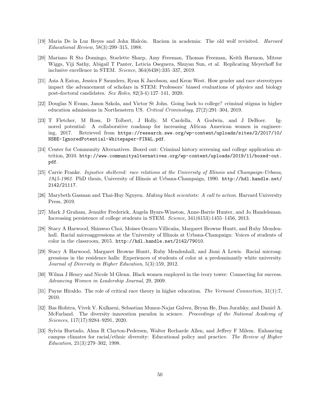- <span id="page-49-8"></span>[19] Maria De la Luz Reves and John Halcón. Racism in academia: The old wolf revisited. *Harvard* Educational Review, 58(3):299–315, 1988.
- <span id="page-49-4"></span>[20] Mariano R Sto Domingo, Starlette Sharp, Amy Freeman, Thomas Freeman, Keith Harmon, Mitsue Wiggs, Viji Sathy, Abigail T Panter, Leticia Oseguera, Shuyan Sun, et al. Replicating Meyerhoff for inclusive excellence in STEM. Science, 364(6438):335–337, 2019.
- <span id="page-49-9"></span>[21] Asia A Eaton, Jessica F Saunders, Ryan K Jacobson, and Keon West. How gender and race stereotypes impact the advancement of scholars in STEM: Professors' biased evaluations of physics and biology post-doctoral candidates. Sex Roles, 82(3-4):127–141, 2020.
- <span id="page-49-6"></span>[22] Douglas N Evans, Jason Szkola, and Victor St John. Going back to college? criminal stigma in higher education admissions in Northeastern US. Critical Criminology, 27(2):291–304, 2019.
- <span id="page-49-10"></span>[23] T Fletcher, M Ross, D Tolbert, J Holly, M Cardella, A Godwin, and J DeBoer. Ignored potential: A collaborative roadmap for increasing African American women in engineering, 2017. Retrieved from [https://research.swe.org/wp-content/uploads/sites/2/2017/10/](https://research.swe.org/wp-content/uploads/sites/2/2017/10/NSBE-IgnoredPotential-Whitepaper-FINAL.pdf) [NSBE-IgnoredPotential-Whitepaper-FINAL.pdf](https://research.swe.org/wp-content/uploads/sites/2/2017/10/NSBE-IgnoredPotential-Whitepaper-FINAL.pdf).
- <span id="page-49-7"></span>[24] Center for Community Alternatives. Boxed out: Criminal history screening and college application attrition, 2010. [http://www.communityalternatives.org/wp-content/uploads/2019/11/boxed-out.](http://www.communityalternatives.org/wp-content/uploads/2019/11/boxed-out.pdf) [pdf](http://www.communityalternatives.org/wp-content/uploads/2019/11/boxed-out.pdf).
- <span id="page-49-0"></span>[25] Carrie Franke. Injustice sheltered: race relations at the University of Illinois and Champaign-Urbana, 1945-1962. PhD thesis, University of Illinois at Urbana-Champaign, 1990. [http://hdl.handle.net/](http://hdl.handle.net/2142/21117) [2142/21117](http://hdl.handle.net/2142/21117).
- <span id="page-49-11"></span>[26] Marybeth Gasman and Thai-Huy Nguyen. Making black scientists: A call to action. Harvard University Press, 2019.
- <span id="page-49-5"></span>[27] Mark J Graham, Jennifer Frederick, Angela Byars-Winston, Anne-Barrie Hunter, and Jo Handelsman. Increasing persistence of college students in STEM. Science, 341(6153):1455–1456, 2013.
- <span id="page-49-2"></span>[28] Stacy A Harwood, Shinwoo Choi, Moises Orozco Villicaña, Margaret Browne Huntt, and Ruby Mendenhall. Racial microaggressions at the University of Illinois at Urbana-Champaign: Voices of students of color in the classroom, 2015. <http://hdl.handle.net/2142/79010>.
- <span id="page-49-14"></span>[29] Stacy A Harwood, Margaret Browne Huntt, Ruby Mendenhall, and Jioni A Lewis. Racial microaggressions in the residence halls: Experiences of students of color at a predominantly white university. Journal of Diversity in Higher Education, 5(3):159, 2012.
- <span id="page-49-3"></span>[30] Wilma J Henry and Nicole M Glenn. Black women employed in the ivory tower: Connecting for success. Advancing Women in Leadership Journal, 29, 2009.
- <span id="page-49-12"></span>[31] Payne Hiraldo. The role of critical race theory in higher education. The Vermont Connection, 31(1):7, 2010.
- <span id="page-49-13"></span>[32] Bas Hofstra, Vivek V. Kulkarni, Sebastian Munoz-Najar Galvez, Bryan He, Dan Jurafsky, and Daniel A. McFarland. The diversity–innovation paradox in science. Proceedings of the National Academy of Sciences, 117(17):9284–9291, 2020.
- <span id="page-49-1"></span>[33] Sylvia Hurtado, Alma R Clayton-Pedersen, Walter Recharde Allen, and Jeffrey F Milem. Enhancing campus climates for racial/ethnic diversity: Educational policy and practice. The Review of Higher Education, 21(3):279–302, 1998.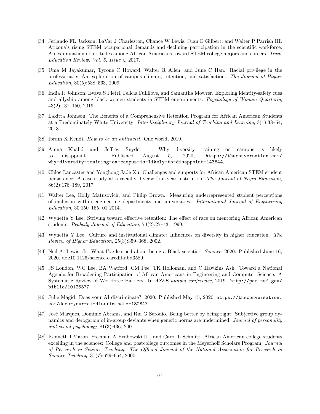- <span id="page-50-9"></span>[34] Jerlando FL Jackson, LaVar J Charleston, Chance W Lewis, Juan E Gilbert, and Walter P Parrish III. Arizona's rising STEM occupational demands and declining participation in the scientific workforce: An examination of attitudes among African Americans toward STEM college majors and careers. Texas Education Review; Vol. 5, Issue 2, 2017.
- <span id="page-50-0"></span>[35] Uma M Jayakumar, Tyrone C Howard, Walter R Allen, and June C Han. Racial privilege in the professoriate: An exploration of campus climate, retention, and satisfaction. The Journal of Higher Education, 80(5):538–563, 2009.
- <span id="page-50-12"></span>[36] India R Johnson, Evava S Pietri, Felicia Fullilove, and Samantha Mowrer. Exploring identity-safety cues and allyship among black women students in STEM environments. Psychology of Women Quarterly, 43(2):131–150, 2019.
- <span id="page-50-6"></span>[37] Lakitta Johnson. The Benefits of a Comprehensive Retention Program for African American Students at a Predominately White University. Interdisciplinary Journal of Teaching and Learning, 3(1):38–54, 2013.
- <span id="page-50-13"></span>[38] Ibram X Kendi. How to be an antiracist. One world, 2019.
- <span id="page-50-4"></span>[39] Amna Khalid and Jeffrey Snyder. Why diversity training on campus is likely to disappoint. Published August 5, 2020, [https://theconversation.com/](https://theconversation.com/why-diversity-training-on-campus-is-likely-to-disappoint-143644) [why-diversity-training-on-campus-is-likely-to-disappoint-143644](https://theconversation.com/why-diversity-training-on-campus-is-likely-to-disappoint-143644),.
- <span id="page-50-8"></span>[40] Chloe Lancaster and Yonghong Jade Xu. Challenges and supports for African American STEM student persistence: A case study at a racially diverse four-year institution. The Journal of Negro Education, 86(2):176–189, 2017.
- <span id="page-50-11"></span>[41] Walter Lee, Holly Matusovich, and Philip Brown. Measuring underrepresented student perceptions of inclusion within engineering departments and universities. International Journal of Engineering Education, 30:150–165, 01 2014.
- <span id="page-50-1"></span>[42] Wynetta Y Lee. Striving toward effective retention: The effect of race on mentoring African American students. Peabody Journal of Education, 74(2):27–43, 1999.
- <span id="page-50-3"></span>[43] Wynetta Y Lee. Culture and institutional climate: Influences on diversity in higher education. The Review of Higher Education, 25(3):359–368, 2002.
- <span id="page-50-2"></span>[44] Neil A. Lewis, Jr. What I've learned about being a Black scientist. Science, 2020. Published June 16, 2020, doi:10.1126/science.caredit.abd3589.
- <span id="page-50-5"></span>[45] JS London, WC Lee, BA Watford, CM Pee, TK Holloman, and C Hawkins Ash. Toward a National Agenda for Broadening Participation of African Americans in Engineering and Computer Science: A Systematic Review of Workforce Barriers. In ASEE annual conference, 2019. [http://par.nsf.gov/](http: //par.nsf.gov/biblio/10125377) [biblio/10125377](http: //par.nsf.gov/biblio/10125377).
- <span id="page-50-10"></span>[46] Julie Magid. Does your AI discriminate?, 2020. Published May 15, 2020, [https://theconversation.](https://theconversation.com/does- your-ai-discriminate-132847) [com/does-your-ai-discriminate-132847](https://theconversation.com/does- your-ai-discriminate-132847).
- <span id="page-50-14"></span>[47] José Marques, Dominic Abrams, and Rui G Serôdio. Being better by being right: Subjective group dynamics and derogation of in-group deviants when generic norms are undermined. Journal of personality and social psychology, 81(3):436, 2001.
- <span id="page-50-7"></span>[48] Kenneth I Maton, Freeman A Hrabowski III, and Carol L Schmitt. African American college students excelling in the sciences: College and postcollege outcomes in the Meyerhoff Scholars Program. Journal of Research in Science Teaching: The Official Journal of the National Association for Research in Science Teaching, 37(7):629–654, 2000.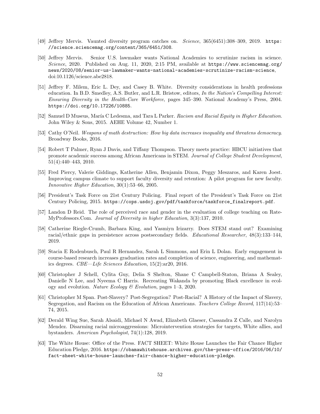- <span id="page-51-4"></span>[49] Jeffrey Mervis. Vaunted diversity program catches on. Science, 365(6451):308–309, 2019. [https:](https://science.sciencemag.org/content/365/6451/308) [//science.sciencemag.org/content/365/6451/308](https://science.sciencemag.org/content/365/6451/308).
- <span id="page-51-0"></span>[50] Jeffrey Mervis. Senior U.S. lawmaker wants National Academies to scrutinize racism in science. Science, 2020. Published on Aug. 11, 2020, 2:15 PM, available at [https://www.sciencemag.org/](https://www.sciencemag.org/news/2020/08/senior-us-lawmaker-wants-national-academies-scrutinize-racism-science) [news/2020/08/senior-us-lawmaker-wants-national-academies-scrutinize-racism-science](https://www.sciencemag.org/news/2020/08/senior-us-lawmaker-wants-national-academies-scrutinize-racism-science), doi:10.1126/science.abe2818.
- <span id="page-51-2"></span>[51] Jeffrey F. Milem, Eric L. Dey, and Casey B. White. Diversity considerations in health professions education. In B.D. Smedley, A.S. Butler, and L.R. Bristow, editors, In the Nation's Compelling Interest: Ensuring Diversity in the Health-Care Workforce, pages 345–390. National Academy's Press, 2004. <https://doi.org/10.17226/10885>.
- <span id="page-51-9"></span>[52] Samuel D Museus, María C Ledesma, and Tara L Parker. Racism and Racial Equity in Higher Education. John Wiley & Sons, 2015. AEHE Volume 42, Number 1.
- <span id="page-51-14"></span>[53] Cathy O'Neil. Weapons of math destruction: How big data increases inequality and threatens democracy. Broadway Books, 2016.
- <span id="page-51-10"></span>[54] Robert T Palmer, Ryan J Davis, and Tiffany Thompson. Theory meets practice: HBCU initiatives that promote academic success among African Americans in STEM. Journal of College Student Development, 51(4):440–443, 2010.
- <span id="page-51-1"></span>[55] Fred Piercy, Valerie Giddings, Katherine Allen, Benjamin Dixon, Peggy Meszaros, and Karen Joest. Improving campus climate to support faculty diversity and retention: A pilot program for new faculty. Innovative Higher Education, 30(1):53–66, 2005.
- <span id="page-51-8"></span>[56] President's Task Force on 21st Century Policing. Final report of the President's Task Force on 21st Century Policing, 2015. [https://cops.usdoj.gov/pdf/taskforce/taskforce\\_finalreport.pdf](https://cops.usdoj.gov/pdf/taskforce/taskforce_finalreport.pdf).
- <span id="page-51-11"></span>[57] Landon D Reid. The role of perceived race and gender in the evaluation of college teaching on Rate-MyProfessors.Com. Journal of Diversity in higher Education, 3(3):137, 2010.
- <span id="page-51-12"></span>[58] Catherine Riegle-Crumb, Barbara King, and Yasmiyn Irizarry. Does STEM stand out? Examining racial/ethnic gaps in persistence across postsecondary fields. Educational Researcher, 48(3):133–144, 2019.
- <span id="page-51-5"></span>[59] Stacia E Rodenbusch, Paul R Hernandez, Sarah L Simmons, and Erin L Dolan. Early engagement in course-based research increases graduation rates and completion of science, engineering, and mathematics degrees. CBE—Life Sciences Education, 15(2):ar20, 2016.
- <span id="page-51-13"></span>[60] Christopher J Schell, Cylita Guy, Delia S Shelton, Shane C Campbell-Staton, Briana A Sealey, Danielle N Lee, and Nyeema C Harris. Recreating Wakanda by promoting Black excellence in ecology and evolution. Nature Ecology & Evolution, pages 1–3, 2020.
- <span id="page-51-6"></span>[61] Christopher M Span. Post-Slavery? Post-Segregation? Post-Racial? A History of the Impact of Slavery, Segregation, and Racism on the Education of African Americans. Teachers College Record, 117(14):53– 74, 2015.
- <span id="page-51-3"></span>[62] Derald Wing Sue, Sarah Alsaidi, Michael N Awad, Elizabeth Glaeser, Cassandra Z Calle, and Narolyn Mendez. Disarming racial microaggressions: Microintervention strategies for targets, White allies, and bystanders. American Psychologist, 74(1):128, 2019.
- <span id="page-51-7"></span>[63] The White House: Office of the Press. FACT SHEET: White House Launches the Fair Chance Higher Education Pledge, 2016. [https://obamawhitehouse.archives.gov/the-press-office/2016/06/10/](https://obamawhitehouse.archives.gov/the-press-office/2016/06/10/fact-sheet-white-house-launches-fair-chance-higher-education-pledge) [fact-sheet-white-house-launches-fair-chance-higher-education-pledge](https://obamawhitehouse.archives.gov/the-press-office/2016/06/10/fact-sheet-white-house-launches-fair-chance-higher-education-pledge).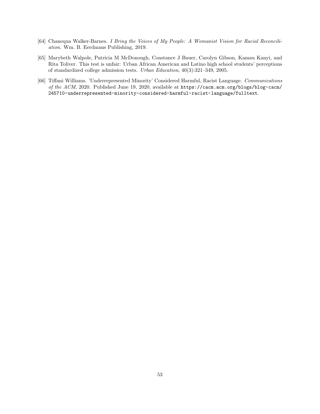- <span id="page-52-2"></span>[64] Chanequa Walker-Barnes. I Bring the Voices of My People: A Womanist Vision for Racial Reconciliation. Wm. B. Eerdmans Publishing, 2019.
- <span id="page-52-1"></span>[65] Marybeth Walpole, Patricia M McDonough, Constance J Bauer, Carolyn Gibson, Kamau Kanyi, and Rita Toliver. This test is unfair: Urban African American and Latino high school students' perceptions of standardized college admission tests. Urban Education, 40(3):321–349, 2005.
- <span id="page-52-0"></span>[66] Tiffani Williams. 'Underrepresented Minority' Considered Harmful, Racist Language. Communications of the ACM, 2020. Published June 19, 2020, available at [https://cacm.acm.org/blogs/blog-cacm/](https://cacm.acm.org/blogs/blog-cacm/245710-underrepresented-minority-considered-harmful-racist-language/fulltext) [245710-underrepresented-minority-considered-harmful-racist-language/fulltext](https://cacm.acm.org/blogs/blog-cacm/245710-underrepresented-minority-considered-harmful-racist-language/fulltext).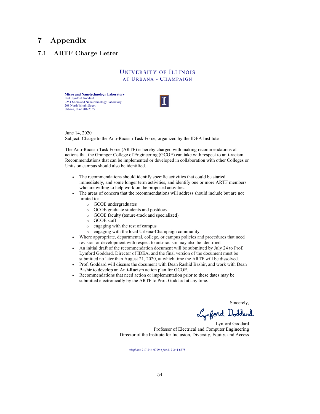# <span id="page-53-0"></span>7 Appendix

### <span id="page-53-1"></span>7.1 ARTF Charge Letter

### UNIVERSITY OF ILLINOIS AT URBANA - CHAMPAIGN

**Micro and Nanotechnology Laboratory** Prof. Lynford Goddard 2254 Micro and Nanotechnology Laboratory 208 North Wright Street Urbana, IL 61801-2355



June 14, 2020 Subject: Charge to the Anti-Racism Task Force, organized by the IDEA Institute

The Anti-Racism Task Force (ARTF) is hereby charged with making recommendations of actions that the Grainger College of Engineering (GCOE) can take with respect to anti-racism. Recommendations that can be implemented or developed in collaboration with other Colleges or Units on campus should also be identified.

- The recommendations should identify specific activities that could be started immediately, and some longer term activities, and identify one or more ARTF members who are willing to help work on the proposed activities.
- The areas of concern that the recommendations will address should include but are not limited to:
	- o GCOE undergraduates
	- o GCOE graduate students and postdocs
	- o GCOE faculty (tenure-track and specialized)
	- o GCOE staff
	- o engaging with the rest of campus
	- o engaging with the local Urbana-Champaign community
- Where appropriate, departmental, college, or campus policies and procedures that need revision or development with respect to anti-racism may also be identified
- An initial draft of the recommendation document will be submitted by July 24 to Prof. Lynford Goddard, Director of IDEA, and the final version of the document must be submitted no later than August 21, 2020, at which time the ARTF will be dissolved.
- Prof. Goddard will discuss the document with Dean Rashid Bashir, and work with Dean Bashir to develop an Anti-Racism action plan for GCOE.
- Recommendations that need action or implementation prior to these dates may be submitted electronically by the ARTF to Prof. Goddard at any time.

Sincerely,

Lynford Doddard

Lynford Goddard Professor of Electrical and Computer Engineering Director of the Institute for Inclusion, Diversity, Equity, and Access

*telephone* 217-244-0799 • *fax* 217-244-6375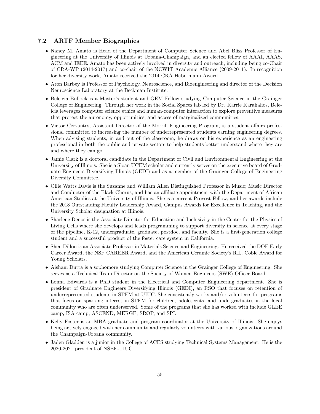#### <span id="page-54-0"></span>7.2 ARTF Member Biographies

- Nancy M. Amato is Head of the Department of Computer Science and Abel Bliss Professor of Engineering at the University of Illinois at Urbana-Champaign, and an elected fellow of AAAI, AAAS, ACM and IEEE. Amato has been actively involved in diversity and outreach, including being co-Chair of CRA-WP (2014-2017) and co-chair of the NCWIT Academic Alliance (2009-2011). In recognition for her diversity work, Amato received the 2014 CRA Habermann Award.
- Aron Barbey is Professor of Psychology, Neuroscience, and Bioengineering and director of the Decision Neuroscience Laboratory at the Beckman Institute.
- Beleicia Bullock is a Master's student and GEM Fellow studying Computer Science in the Grainger College of Engineering. Through her work in the Social Spaces lab led by Dr. Karrie Karahalios, Beleicia leverages computer science ethics and human-computer interaction to explore preventive measures that protect the autonomy, opportunities, and access of marginalized communities.
- Victor Cervantes, Assistant Director of the Morrill Engineering Program, is a student affairs professional committed to increasing the number of underrepresented students earning engineering degrees. When advising students, in and out of the classroom, he draws on his experience as an engineering professional in both the public and private sectors to help students better understand where they are and where they can go.
- Jamie Clark is a doctoral candidate in the Department of Civil and Environmental Engineering at the University of Illinois. She is a Sloan UCEM scholar and currently serves on the executive board of Graduate Engineers Diversifying Illinois (GEDI) and as a member of the Grainger College of Engineering Diversity Committee.
- Ollie Watts Davis is the Suzanne and William Allen Distinguished Professor in Music; Music Director and Conductor of the Black Chorus; and has an affiliate appointment with the Department of African American Studies at the University of Illinois. She is a current Provost Fellow, and her awards include the 2018 Outstanding Faculty Leadership Award, Campus Awards for Excellence in Teaching, and the University Scholar designation at Illinois.
- Sharlene Denos is the Associate Director for Education and Inclusivity in the Center for the Physics of Living Cells where she develops and leads programming to support diversity in science at every stage of the pipeline, K-12, undergraduate, graduate, postdoc, and faculty. She is a first-generation college student and a successful product of the foster care system in California.
- Shen Dillon is an Associate Professor in Materials Science and Engineering. He received the DOE Early Career Award, the NSF CAREER Award, and the American Ceramic Society's R.L. Coble Award for Young Scholars.
- Aishani Dutta is a sophomore studying Computer Science in the Grainger College of Engineering. She serves as a Technical Team Director on the Society of Women Engineers (SWE) Officer Board.
- Lonna Edwards is a PhD student in the Electrical and Computer Engineering department. She is president of Graduate Engineers Diversifying Illinois (GEDI), an RSO that focuses on retention of underrepresented students in STEM at UIUC. She consistently works and/or volunteers for programs that focus on sparking interest in STEM for children, adolescents, and undergraduates in the local community who are often underserved. Some of the programs that she has worked with include GLEE camp, ISA camp, ASCEND, MERGE, SROP, and SPI.
- Kelly Foster is an MBA graduate and program coordinator at the University of Illinois. She enjoys being actively engaged with her community and regularly volunteers with various organizations around the Champaign-Urbana community.
- Jaden Gladden is a junior in the College of ACES studying Technical Systems Management. He is the 2020-2021 president of NSBE-UIUC.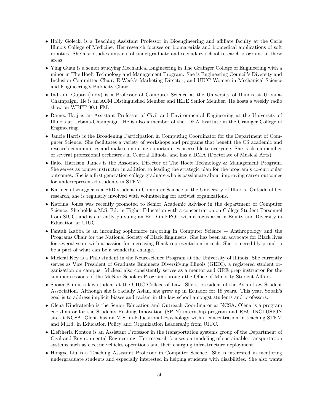- Holly Golecki is a Teaching Assistant Professor in Bioengineering and affiliate faculty at the Carle Illinois College of Medicine. Her research focuses on biomaterials and biomedical applications of soft robotics. She also studies impacts of undergraduate and secondary school research programs in these areas.
- Ying Guan is a senior studying Mechanical Engineering in The Grainger College of Engineering with a minor in The Hoeft Technology and Management Program. She is Engineering Council's Diversity and Inclusion Committee Chair, E-Week's Marketing Director, and UIUC Women in Mechanical Science and Engineering's Publicity Chair.
- Indranil Gupta (Indy) is a Professor of Computer Science at the University of Illinois at Urbana-Champaign. He is an ACM Distinguished Member and IEEE Senior Member. He hosts a weekly radio show on WEFT 90.1 FM.
- Ramez Hajj is an Assistant Professor of Civil and Environmental Engineering at the University of Illinois at Urbana-Champaign. He is also a member of the IDEA Institute in the Grainger College of Engineering.
- Jancie Harris is the Broadening Participation in Computing Coordinator for the Department of Computer Science. She facilitates a variety of workshops and programs that benefit the CS academic and research communities and make computing opportunities accessible to everyone. She is also a member of several professional orchestras in Central Illinois, and has a DMA (Doctorate of Musical Arts).
- Ilalee Harrison James is the Associate Director of The Hoeft Technology & Management Program. She serves as course instructor in addition to leading the strategic plan for the program's co-curricular outcomes. She is a first generation college graduate who is passionate about improving career outcomes for underrepresented students in STEM.
- Kathleen Isenegger is a PhD student in Computer Science at the University of Illinois. Outside of her research, she is regularly involved with volunteering for activist organizations.
- Katrina Jones was recently promoted to Senior Academic Advisor in the department of Computer Science. She holds a M.S. Ed. in Higher Education with a concentration on College Student Personnel from SIUC; and is currently pursuing an Ed.D in EPOL with a focus area in Equity and Diversity in Education at UIUC.
- Fantah Kabba is an incoming sophomore majoring in Computer Science + Anthropology and the Programs Chair for the National Society of Black Engineers. She has been an advocate for Black lives for several years with a passion for increasing Black representation in tech. She is incredibly proud to be a part of what can be a wonderful change.
- Mickeal Key is a PhD student in the Neuroscience Program at the University of Illinois. She currently serves as Vice President of Graduate Engineers Diversifying Illinois (GEDI), a registered student organization on campus. Mickeal also consistently serves as a mentor and GRE prep instructor for the summer sessions of the McNair Scholars Program through the Office of Minority Student Affairs.
- Sooah Kim is a law student at the UIUC College of Law. She is president of the Asian Law Student Association. Although she is racially Asian, she grew up in Ecuador for 18 years. This year, Sooah's goal is to address implicit biases and racism in the law school amongst students and professors.
- Olena Kindratenko is the Senior Education and Outreach Coordinator at NCSA. Olena is a program coordinator for the Students Pushing Innovation (SPIN) internship program and REU INCLUSION site at NCSA. Olena has an M.S. in Educational Psychology with a concentration in teaching STEM and M.Ed. in Education Policy and Organization Leadership from UIUC.
- Eleftheria Kontou is an Assistant Professor in the transportation systems group of the Department of Civil and Environmental Engineering. Her research focuses on modeling of sustainable transportation systems such as electric vehicles operations and their charging infrastructure deployment.
- Hongye Liu is a Teaching Assistant Professor in Computer Science. She is interested in mentoring undergraduate students and especially interested in helping students with disabilities. She also wants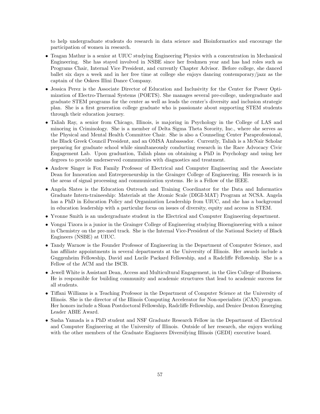to help undergraduate students do research in data science and Bioinformatics and encourage the participation of women in research.

- Teagan Mathur is a senior at UIUC studying Engineering Physics with a concentration in Mechanical Engineering. She has stayed involved in NSBE since her freshmen year and has had roles such as Programs Chair, Internal Vice President, and currently Chapter Advisor. Before college, she danced ballet six days a week and in her free time at college she enjoys dancing contemporary/jazz as the captain of the Oskees Illini Dance Company.
- Jessica Perez is the Associate Director of Education and Inclusivity for the Center for Power Optimization of Electro-Thermal Systems (POETS). She manages several pre-college, undergraduate and graduate STEM programs for the center as well as leads the center's diversity and inclusion strategic plan. She is a first generation college graduate who is passionate about supporting STEM students through their education journey.
- Taliah Ray, a senior from Chicago, Illinois, is majoring in Psychology in the College of LAS and minoring in Criminology. She is a member of Delta Sigma Theta Sorority, Inc., where she serves as the Physical and Mental Health Committee Chair. She is also a Counseling Center Paraprofessional, the Black Greek Council President, and an OMSA Ambassador. Currently, Taliah is a McNair Scholar preparing for graduate school while simultaneously conducting research in the Race Advocacy Civic Engagement Lab. Upon graduation, Taliah plans on obtaining a PhD in Psychology and using her degrees to provide underserved communities with diagnostics and treatment.
- Andrew Singer is Fox Family Professor of Electrical and Computer Engineering and the Associate Dean for Innovation and Entrepreneurship in the Grainger College of Engineering. His research is in the areas of signal processing and communication systems. He is a Fellow of the IEEE.
- Angela Slates is the Education Outreach and Training Coordinator for the Data and Informatics Graduate Intern-traineeship: Materials at the Atomic Scale (DIGI-MAT) Program at NCSA. Angela has a PhD in Education Policy and Organization Leadership from UIUC, and she has a background in education leadership with a particular focus on issues of diversity, equity and access in STEM.
- Yvonne Smith is an undergraduate student in the Electrical and Computer Engineering department.
- Vongai Tizora is a junior in the Grainger College of Engineering studying Bioengineering with a minor in Chemistry on the pre-med track. She is the Internal Vice-President of the National Society of Black Engineers (NSBE) at UIUC.
- Tandy Warnow is the Founder Professor of Engineering in the Department of Computer Science, and has affiliate appointments in several departments at the University of Illinois. Her awards include a Guggenheim Fellowship, David and Lucile Packard Fellowship, and a Radcliffe Fellowship. She is a Fellow of the ACM and the ISCB.
- Jewell White is Assistant Dean, Access and Multicultural Engagement, in the Gies College of Business. He is responsible for building community and academic structures that lead to academic success for all students.
- Tiffani Williams is a Teaching Professor in the Department of Computer Science at the University of Illinois. She is the director of the Illinois Computing Accelerator for Non-specialists (iCAN) program. Her honors include a Sloan Postdoctoral Fellowship, Radcliffe Fellowship, and Denice Denton Emerging Leader ABIE Award.
- Sasha Yamada is a PhD student and NSF Graduate Research Fellow in the Department of Electrical and Computer Engineering at the University of Illinois. Outside of her research, she enjoys working with the other members of the Graduate Engineers Diversifying Illinois (GEDI) executive board.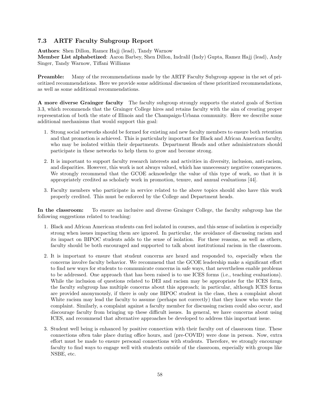#### <span id="page-57-0"></span>7.3 ARTF Faculty Subgroup Report

Authors: Shen Dillon, Ramez Hajj (lead), Tandy Warnow

Member List alphabetized: Aaron Barbey, Shen Dillon, Indralil (Indy) Gupta, Ramez Hajj (lead), Andy Singer, Tandy Warnow, Tiffani Williams

Preamble: Many of the recommendations made by the ARTF Faculty Subgroup appear in the set of prioritized recommendations. Here we provide some additional discussion of these prioritized recommendations, as well as some additional recommendations.

A more diverse Grainger faculty The faculty subgroup strongly supports the stated goals of Section [3.3,](#page-9-0) which recommends that the Grainger College hires and retains faculty with the aim of creating proper representation of both the state of Illinois and the Champaign-Urbana community. Here we describe some additional mechanisms that would support this goal:

- 1. Strong social networks should be formed for existing and new faculty members to ensure both retention and that promotion is achieved. This is particularly important for Black and African American faculty, who may be isolated within their departments. Department Heads and other administrators should participate in these networks to help them to grow and become strong.
- 2. It is important to support faculty research interests and activities in diversity, inclusion, anti-racism, and disparities. However, this work is not always valued, which has unnecessary negative consequences. We strongly recommend that the GCOE acknowledge the value of this type of work, so that it is appropriately credited as scholarly work in promotion, tenure, and annual evaluations [\[44\]](#page-50-2).
- 3. Faculty members who participate in service related to the above topics should also have this work properly credited. This must be enforced by the College and Department heads.

In the classroom: To ensure an inclusive and diverse Grainger College, the faculty subgroup has the following suggestions related to teaching:

- 1. Black and African American students can feel isolated in courses, and this sense of isolation is especially strong when issues impacting them are ignored. In particular, the avoidance of discussing racism and its impact on BIPOC students adds to the sense of isolation. For these reasons, as well as others, faculty should be both encouraged and supported to talk about institutional racism in the classroom.
- 2. It is important to ensure that student concerns are heard and responded to, especially when the concerns involve faculty behavior. We recommend that the GCOE leadership make a significant effort to find new ways for students to communicate concerns in safe ways, that nevertheless enable problems to be addressed. One approach that has been raised is to use ICES forms (i.e., teaching evaluations). While the inclusion of questions related to DEI and racism may be appropriate for the ICES form, the faculty subgroup has multiple concerns about this approach; in particular, although ICES forms are provided anonymously, if there is only one BIPOC student in the class, then a complaint about White racism may lead the faculty to assume (perhaps not correctly) that they know who wrote the complaint. Similarly, a complaint against a faculty member for discussing racism could also occur, and discourage faculty from bringing up these difficult issues. In general, we have concerns about using ICES, and recommend that alternative approaches be developed to address this important issue.
- 3. Student well being is enhanced by positive connection with their faculty out of classroom time. These connections often take place during office hours, and (pre-COVID) were done in person. Now, extra effort must be made to ensure personal connections with students. Therefore, we strongly encourage faculty to find ways to engage well with students outside of the classroom, especially with groups like NSBE, etc.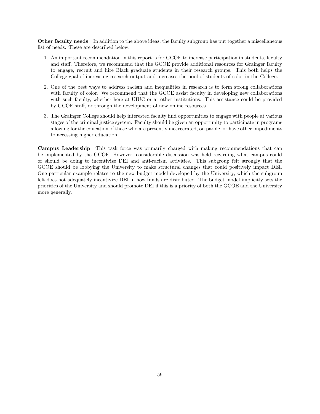Other faculty needs In addition to the above ideas, the faculty subgroup has put together a miscellaneous list of needs. These are described below:

- 1. An important recommendation in this report is for GCOE to increase participation in students, faculty and staff. Therefore, we recommend that the GCOE provide additional resources for Grainger faculty to engage, recruit and hire Black graduate students in their research groups. This both helps the College goal of increasing research output and increases the pool of students of color in the College.
- 2. One of the best ways to address racism and inequalities in research is to form strong collaborations with faculty of color. We recommend that the GCOE assist faculty in developing new collaborations with such faculty, whether here at UIUC or at other institutions. This assistance could be provided by GCOE staff, or through the development of new online resources.
- 3. The Grainger College should help interested faculty find opportunities to engage with people at various stages of the criminal justice system. Faculty should be given an opportunity to participate in programs allowing for the education of those who are presently incarcerated, on parole, or have other impediments to accessing higher education.

Campus Leadership This task force was primarily charged with making recommendations that can be implemented by the GCOE. However, considerable discussion was held regarding what campus could or should be doing to incentivize DEI and anti-racism activities. This subgroup felt strongly that the GCOE should be lobbying the University to make structural changes that could positively impact DEI. One particular example relates to the new budget model developed by the University, which the subgroup felt does not adequately incentivize DEI in how funds are distributed. The budget model implicitly sets the priorities of the University and should promote DEI if this is a priority of both the GCOE and the University more generally.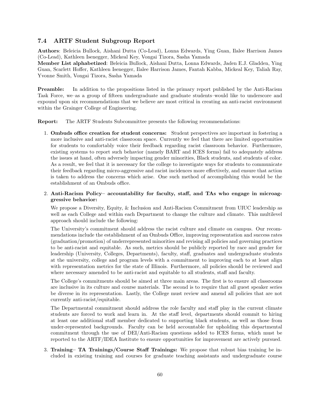#### <span id="page-59-0"></span>7.4 ARTF Student Subgroup Report

Authors: Beleicia Bullock, Aishani Dutta (Co-Lead), Lonna Edwards, Ying Guan, Ilalee Harrison James (Co-Lead), Kathleen Isenegger, Mickeal Key, Vongai Tizora, Sasha Yamada

Member List alphabetized: Beleicia Bullock, Aishani Dutta, Lonna Edwards, Jaden E.J. Gladden, Ying Guan, Scarlett Hoffer, Kathleen Isenegger, Ilalee Harrison James, Fantah Kabba, Mickeal Key, Taliah Ray, Yvonne Smith, Vongai Tizora, Sasha Yamada

Preamble: In addition to the propositions listed in the primary report published by the Anti-Racism Task Force, we–as a group of fifteen undergraduate and graduate students–would like to underscore and expound upon six recommendations that we believe are most critical in creating an anti-racist environment within the Grainger College of Engineering.

Report: The ARTF Students Subcommittee presents the following recommendations:

- 1. Ombuds office creation for student concerns: Student perspectives are important in fostering a more inclusive and anti-racist classroom space. Currently we feel that there are limited opportunities for students to comfortably voice their feedback regarding racist classroom behavior. Furthermore, existing systems to report such behavior (namely BART and ICES forms) fail to adequately address the issues at hand, often adversely impacting gender minorities, Black students, and students of color. As a result, we feel that it is necessary for the college to investigate ways for students to communicate their feedback regarding micro-aggressive and racist incidences more effectively, and ensure that action is taken to address the concerns which arise. One such method of accomplishing this would be the establishment of an Ombuds office.
- 2. Anti-Racism Policy– accountability for faculty, staff, and TAs who engage in microaggressive behavior:

We propose a Diversity, Equity, & Inclusion and Anti-Racism Commitment from UIUC leadership as well as each College and within each Department to change the culture and climate. This multilevel approach should include the following:

The University's commitment should address the racist culture and climate on campus. Our recommendations include the establishment of an Ombuds Office, improving representation and success rates (graduation/promotion) of underrepresented minorities and revising all policies and governing practices to be anti-racist and equitable. As such, metrics should be publicly reported by race and gender for leadership (University, Colleges, Departments), faculty, staff, graduates and undergraduate students at the university, college and program levels with a commitment to improving each to at least align with representation metrics for the state of Illinois. Furthermore, all policies should be reviewed and where necessary amended to be anti-racist and equitable to all students, staff and faculty.

The College's commitments should be aimed at three main areas. The first is to ensure all classrooms are inclusive in its culture and course materials. The second is to require that all guest speaker series be diverse in its representation. Lastly, the College must review and amend all policies that are not currently anti-racist/equitable.

The Departmental commitment should address the role faculty and staff play in the current climate students are forced to work and learn in. At the staff level, departments should commit to hiring at least one additional staff member dedicated to supporting black students, as well as those from under-represented backgrounds. Faculty can be held accountable for upholding this departmental commitment through the use of DEI/Anti-Racism questions added to ICES forms, which must be reported to the ARTF/IDEA Institute to ensure opportunities for improvement are actively pursued.

3. Training– TA Trainings/Course Staff Trainings: We propose that robust bias training be included in existing training and courses for graduate teaching assistants and undergraduate course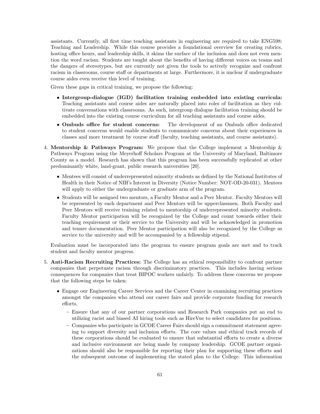assistants. Currently, all first time teaching assistants in engineering are required to take ENG598: Teaching and Leadership. While this course provides a foundational overview for creating rubrics, hosting office hours, and leadership skills, it skims the surface of the inclusion and does not even mention the word racism. Students are taught about the benefits of having different voices on teams and the dangers of stereotypes, but are currently not given the tools to actively recognize and confront racism in classrooms, course staff or departments at large. Furthermore, it is unclear if undergraduate course aides even receive this level of training.

Given these gaps in critical training, we propose the following:

- Intergroup-dialogue (IGD) facilitation training embedded into existing curricula: Teaching assistants and course aides are naturally placed into roles of facilitation as they cultivate conversations with classrooms. As such, intergroup dialogue facilitation training should be embedded into the existing course curriculum for all teaching assistants and course aides.
- Ombuds office for student concerns: The development of an Ombuds office dedicated to student concerns would enable students to communicate concerns about their experiences in classes and more treatment by course staff (faculty, teaching assistants, and course assistants).
- 4. Mentorship & Pathways Program: We propose that the College implement a Mentorship & Pathways Program using the Meyerhoff Scholars Program at the University of Maryland, Baltimore County as a model. Research has shown that this program has been successfully replicated at other predominantly white, land-grant, public research universities [\[20\]](#page-49-4).
	- Mentees will consist of underrepresented minority students as defined by the National Institutes of Health in their Notice of NIH's Interest in Diversity (Notice Number: NOT-OD-20-031). Mentees will apply to either the undergraduate or graduate arm of the program.
	- Students will be assigned two mentors, a Faculty Mentor and a Peer Mentor. Faculty Mentors will be represented by each department and Peer Mentors will be upperclassmen. Both Faculty and Peer Mentors will receive training related to mentorship of underrepresented minority students. Faculty Mentor participation will be recognized by the College and count towards either their teaching requirement or their service to the University and will be acknowledged in promotion and tenure documentation. Peer Mentor participation will also be recognized by the College as service to the university and will be accompanied by a fellowship stipend.

Evaluation must be incorporated into the program to ensure program goals are met and to track student and faculty mentor progress.

- 5. Anti-Racism Recruiting Practices: The College has an ethical responsibility to confront partner companies that perpetuate racism through discriminatory practices. This includes having serious consequences for companies that treat BIPOC workers unfairly. To address these concerns we propose that the following steps be taken:
	- Engage our Engineering Career Services and the Career Center in examining recruiting practices amongst the companies who attend our career fairs and provide corporate funding for research efforts.
		- Ensure that any of our partner corporations and Research Park companies put an end to utilizing racist and biased AI hiring tools such as HireVue to select candidates for positions.
		- Companies who participate in GCOE Career Fairs should sign a commitment statement agreeing to support diversity and inclusion efforts. The core values and ethical track records of these corporations should be evaluated to ensure that substantial efforts to create a diverse and inclusive environment are being made by company leadership. GCOE partner organizations should also be responsible for reporting their plan for supporting these efforts and the subsequent outcome of implementing the stated plan to the College. This information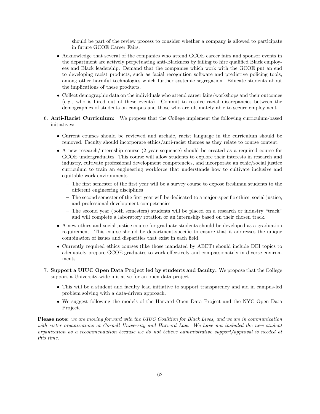should be part of the review process to consider whether a company is allowed to participate in future GCOE Career Fairs.

- Acknowledge that several of the companies who attend GCOE career fairs and sponsor events in the department are actively perpetuating anti-Blackness by failing to hire qualified Black employees and Black leadership. Demand that the companies which work with the GCOE put an end to developing racist products, such as facial recognition software and predictive policing tools, among other harmful technologies which further systemic segregation. Educate students about the implications of these products.
- Collect demographic data on the individuals who attend career fairs/workshops and their outcomes (e.g., who is hired out of these events). Commit to resolve racial discrepancies between the demographics of students on campus and those who are ultimately able to secure employment.
- 6. Anti-Racist Curriculum: We propose that the College implement the following curriculum-based initiatives:
	- Current courses should be reviewed and archaic, racist language in the curriculum should be removed. Faculty should incorporate ethics/anti-racist themes as they relate to course content.
	- A new research/internship course (2 year sequence) should be created as a required course for GCOE undergraduates. This course will allow students to explore their interests in research and industry, cultivate professional development competencies, and incorporate an ethic/social justice curriculum to train an engineering workforce that understands how to cultivate inclusive and equitable work environments
		- The first semester of the first year will be a survey course to expose freshman students to the different engineering disciplines
		- The second semester of the first year will be dedicated to a major-specific ethics, social justice, and professional development competencies
		- The second year (both semesters) students will be placed on a research or industry "track" and will complete a laboratory rotation or an internship based on their chosen track.
	- A new ethics and social justice course for graduate students should be developed as a graduation requirement. This course should be department-specific to ensure that it addresses the unique combination of issues and disparities that exist in each field.
	- Currently required ethics courses (like those mandated by ABET) should include DEI topics to adequately prepare GCOE graduates to work effectively and compassionately in diverse environments.
- 7. Support a UIUC Open Data Project led by students and faculty: We propose that the College support a University-wide initiative for an open data project
	- This will be a student and faculty lead initiative to support transparency and aid in campus-led problem solving with a data-driven approach.
	- We suggest following the models of the Harvard Open Data Project and the NYC Open Data Project.

Please note: we are moving forward with the UIUC Coalition for Black Lives, and we are in communication with sister organizations at Cornell University and Harvard Law. We have not included the new student organization as a recommendation because we do not believe administrative support/approval is needed at this time.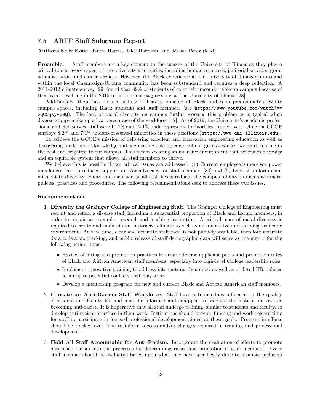#### <span id="page-62-0"></span>7.5 ARTF Staff Subgroup Report

Authors Kelly Foster, Jancie Harris, Ilalee Harrison, and Jessica Perez (lead)

Preamble: Staff members are a key element to the success of the University of Illinois as they play a critical role in every aspect of the university's activities, including human resources, janitorial services, grant administration, and career services. However, the Black experience at the University of Illinois campus and within the local Champaign-Urbana community has been substandard and requires a deep reflection. A 2011-2012 climate survey [\[29\]](#page-49-14) found that 39% of students of color felt uncomfortable on campus because of their race, resulting in the 2015 report on microaggressions at the University of Illinois [\[28\]](#page-49-2).

Additionally, there has been a history of heavily policing of Black bodies in predominately White campus spaces, including Black students and staff members (see [https://www.youtube.com/watch?v=](https://www.youtube.com/watch?v=zqGCqKy-aHQ) [zqGCqKy-aHQ](https://www.youtube.com/watch?v=zqGCqKy-aHQ)). The lack of racial diversity on campus further worsens this problem as is typical when diverse groups make up a low percentage of the workforce [\[47\]](#page-50-14). As of 2019, the University's academic professional and civil service staff were 11.7% and 12.1% underrepresented minorities, respectively, while the GCOE employs 8.2% and 7.1% underrepresented minorities in these positions (<https://www.dmi.illinois.edu>).

To achieve the GCOE's mission of delivering excellent and innovation engineering education as well as discovering fundamental knowledge and engineering cutting-edge technological advances, we need to bring in the best and brightest to our campus. This means creating an inclusive environment that welcomes diversity and an equitable system that allows all staff members to thrive.

We believe this is possible if two critical issues are addressed: (1) Current employee/supervisor power imbalances lead to reduced support and/or advocacy for staff members [\[30\]](#page-49-3) and (2) Lack of uniform commitment to diversity, equity and inclusion at all staff levels reduces the campus' ability to dismantle racist policies, practices and procedures. The following recommendations seek to address these two issues.

#### Recommendations

- 1. Diversify the Grainger College of Engineering Staff. The Grainger College of Engineering must recruit and retain a diverse staff, including a substantial proportion of Black and Latinx members, in order to remain an exemplar research and teaching institution. A critical mass of racial diversity is required to create and maintain an anti-racist climate as well as an innovative and thriving academic environment. At this time, clear and accurate staff data is not publicly available, therefore accurate data collection, tracking, and public release of staff demographic data will serve as the metric for the following action items:
	- Review of hiring and promotion practices to ensure diverse applicant pools and promotion rates of Black and African American staff members, especially into high-level College leadership roles.
	- Implement innovative training to address intercultural dynamics, as well as updated HR policies to mitigate potential conflicts that may arise.
	- Develop a mentorship program for new and current Black and African American staff members.
- 2. Educate an Anti-Racism Staff Workforce. Staff have a tremendous influence on the quality of student and faculty life and must be informed and equipped to progress the institution towards becoming anti-racist. It is imperative that all staff undergo training, similar to students and faculty, to develop anti-racism practices in their work. Institutions should provide funding and work release time for staff to participate in focused professional development aimed at these goals. Progress in efforts should be tracked over time to inform success and/or changes required in training and professional development.
- 3. Hold All Staff Accountable for Anti-Racism. Incorporate the evaluation of efforts to promote anti-black racism into the processes for determining raises and promotion of staff members. Every staff member should be evaluated based upon what they have specifically done to promote inclusion